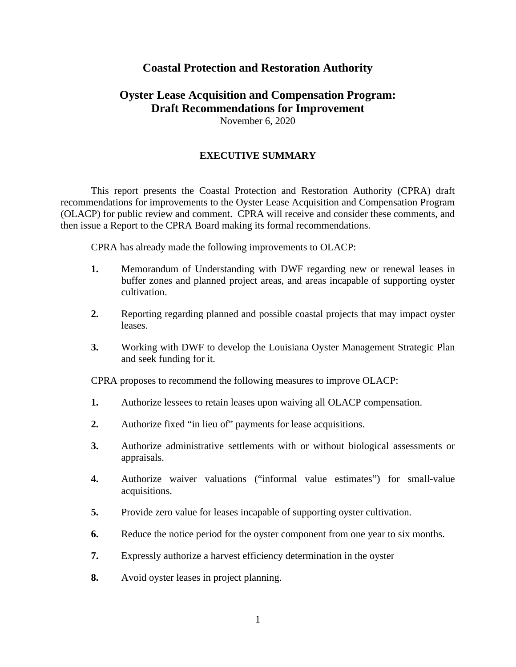## **Coastal Protection and Restoration Authority**

## **Oyster Lease Acquisition and Compensation Program: Draft Recommendations for Improvement** November 6, 2020

## **EXECUTIVE SUMMARY**

This report presents the Coastal Protection and Restoration Authority (CPRA) draft recommendations for improvements to the Oyster Lease Acquisition and Compensation Program (OLACP) for public review and comment. CPRA will receive and consider these comments, and then issue a Report to the CPRA Board making its formal recommendations.

CPRA has already made the following improvements to OLACP:

- **1.** Memorandum of Understanding with DWF regarding new or renewal leases in buffer zones and planned project areas, and areas incapable of supporting oyster cultivation.
- **2.** Reporting regarding planned and possible coastal projects that may impact oyster leases.
- **3.** Working with DWF to develop the Louisiana Oyster Management Strategic Plan and seek funding for it.

CPRA proposes to recommend the following measures to improve OLACP:

- **1.** Authorize lessees to retain leases upon waiving all OLACP compensation.
- **2.** Authorize fixed "in lieu of" payments for lease acquisitions.
- **3.** Authorize administrative settlements with or without biological assessments or appraisals.
- **4.** Authorize waiver valuations ("informal value estimates") for small-value acquisitions.
- **5.** Provide zero value for leases incapable of supporting oyster cultivation.
- **6.** Reduce the notice period for the oyster component from one year to six months.
- **7.** Expressly authorize a harvest efficiency determination in the oyster
- **8.** Avoid oyster leases in project planning.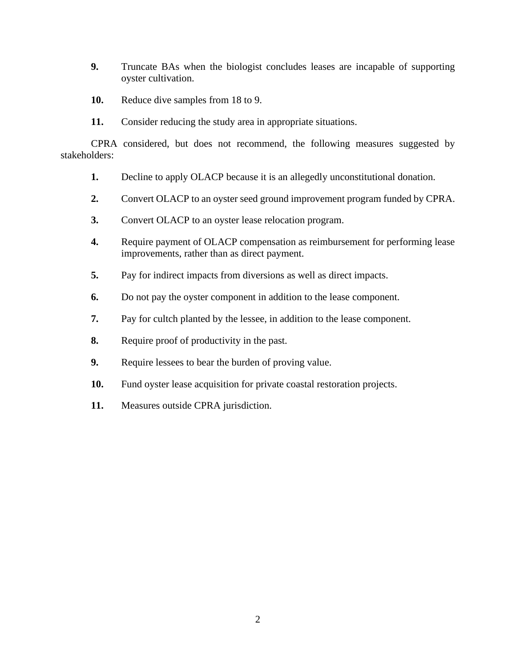- **9.** Truncate BAs when the biologist concludes leases are incapable of supporting oyster cultivation.
- **10.** Reduce dive samples from 18 to 9.
- **11.** Consider reducing the study area in appropriate situations.

CPRA considered, but does not recommend, the following measures suggested by stakeholders:

- **1.** Decline to apply OLACP because it is an allegedly unconstitutional donation.
- **2.** Convert OLACP to an oyster seed ground improvement program funded by CPRA.
- **3.** Convert OLACP to an oyster lease relocation program.
- **4.** Require payment of OLACP compensation as reimbursement for performing lease improvements, rather than as direct payment.
- **5.** Pay for indirect impacts from diversions as well as direct impacts.
- **6.** Do not pay the oyster component in addition to the lease component.
- **7.** Pay for cultch planted by the lessee, in addition to the lease component.
- **8.** Require proof of productivity in the past.
- **9.** Require lessees to bear the burden of proving value.
- **10.** Fund oyster lease acquisition for private coastal restoration projects.
- **11.** Measures outside CPRA jurisdiction.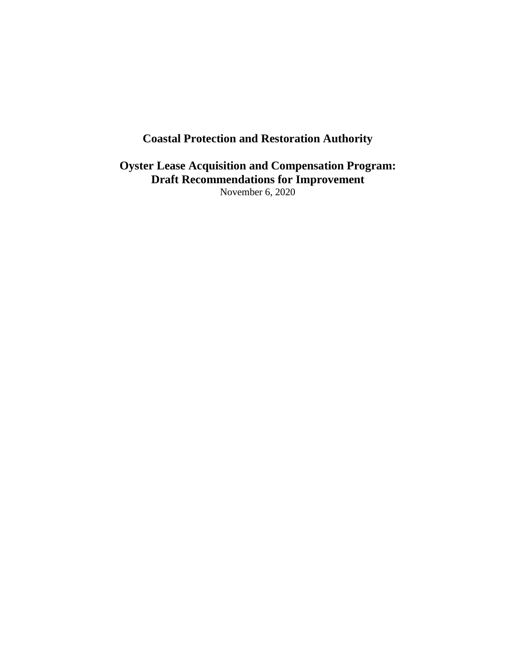# **Coastal Protection and Restoration Authority**

**Oyster Lease Acquisition and Compensation Program: Draft Recommendations for Improvement** November 6, 2020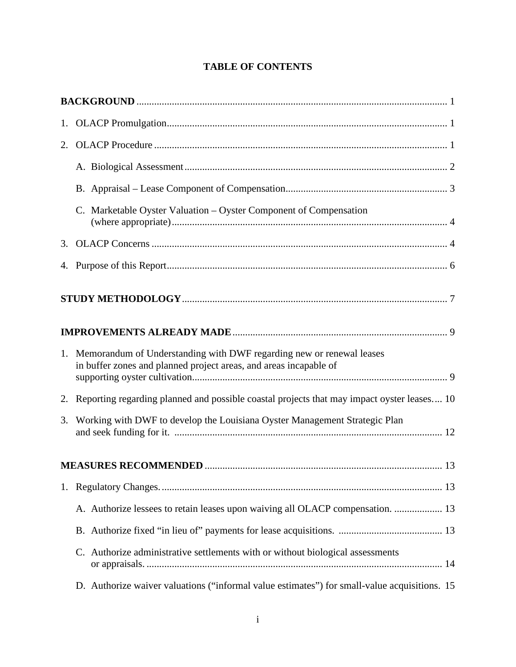| 1. |                                                                                                                                              |  |  |  |  |  |  |
|----|----------------------------------------------------------------------------------------------------------------------------------------------|--|--|--|--|--|--|
| 2. |                                                                                                                                              |  |  |  |  |  |  |
|    |                                                                                                                                              |  |  |  |  |  |  |
|    |                                                                                                                                              |  |  |  |  |  |  |
|    | C. Marketable Oyster Valuation - Oyster Component of Compensation                                                                            |  |  |  |  |  |  |
| 3. |                                                                                                                                              |  |  |  |  |  |  |
|    |                                                                                                                                              |  |  |  |  |  |  |
|    |                                                                                                                                              |  |  |  |  |  |  |
|    |                                                                                                                                              |  |  |  |  |  |  |
|    | 1. Memorandum of Understanding with DWF regarding new or renewal leases<br>in buffer zones and planned project areas, and areas incapable of |  |  |  |  |  |  |
|    | 2. Reporting regarding planned and possible coastal projects that may impact oyster leases 10                                                |  |  |  |  |  |  |
|    | 3. Working with DWF to develop the Louisiana Oyster Management Strategic Plan                                                                |  |  |  |  |  |  |
|    |                                                                                                                                              |  |  |  |  |  |  |
| 1. |                                                                                                                                              |  |  |  |  |  |  |
|    | A. Authorize lessees to retain leases upon waiving all OLACP compensation.  13                                                               |  |  |  |  |  |  |
|    |                                                                                                                                              |  |  |  |  |  |  |
|    | C. Authorize administrative settlements with or without biological assessments                                                               |  |  |  |  |  |  |
|    | D. Authorize waiver valuations ("informal value estimates") for small-value acquisitions. 15                                                 |  |  |  |  |  |  |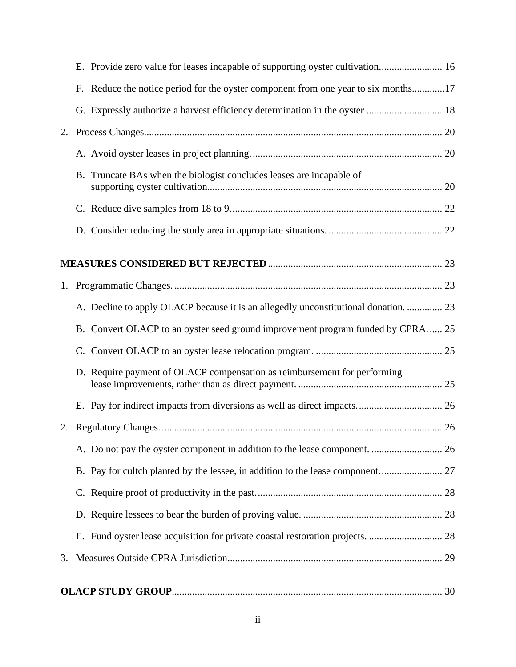|    |  | F. Reduce the notice period for the oyster component from one year to six months17  |  |
|----|--|-------------------------------------------------------------------------------------|--|
|    |  |                                                                                     |  |
|    |  |                                                                                     |  |
|    |  |                                                                                     |  |
|    |  | B. Truncate BAs when the biologist concludes leases are incapable of                |  |
|    |  |                                                                                     |  |
|    |  |                                                                                     |  |
|    |  |                                                                                     |  |
|    |  |                                                                                     |  |
|    |  | A. Decline to apply OLACP because it is an allegedly unconstitutional donation.  23 |  |
|    |  | B. Convert OLACP to an oyster seed ground improvement program funded by CPRA 25     |  |
|    |  |                                                                                     |  |
|    |  | D. Require payment of OLACP compensation as reimbursement for performing            |  |
|    |  |                                                                                     |  |
|    |  |                                                                                     |  |
|    |  |                                                                                     |  |
|    |  |                                                                                     |  |
|    |  |                                                                                     |  |
|    |  |                                                                                     |  |
|    |  |                                                                                     |  |
| 3. |  |                                                                                     |  |
|    |  |                                                                                     |  |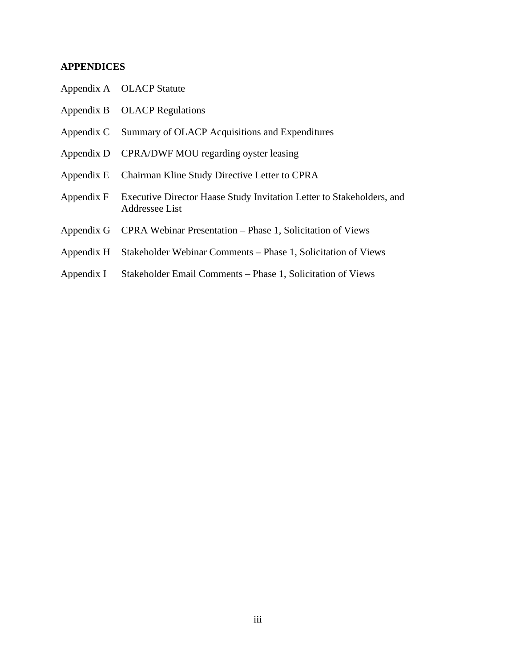## **APPENDICES**

|            | Appendix A OLACP Statute                                                                           |
|------------|----------------------------------------------------------------------------------------------------|
|            | Appendix B OLACP Regulations                                                                       |
|            | Appendix C Summary of OLACP Acquisitions and Expenditures                                          |
|            | Appendix D CPRA/DWF MOU regarding oyster leasing                                                   |
|            | Appendix E Chairman Kline Study Directive Letter to CPRA                                           |
|            | Appendix F Executive Director Haase Study Invitation Letter to Stakeholders, and<br>Addressee List |
|            | Appendix G CPRA Webinar Presentation – Phase 1, Solicitation of Views                              |
|            | Appendix H Stakeholder Webinar Comments – Phase 1, Solicitation of Views                           |
| Appendix I | Stakeholder Email Comments – Phase 1, Solicitation of Views                                        |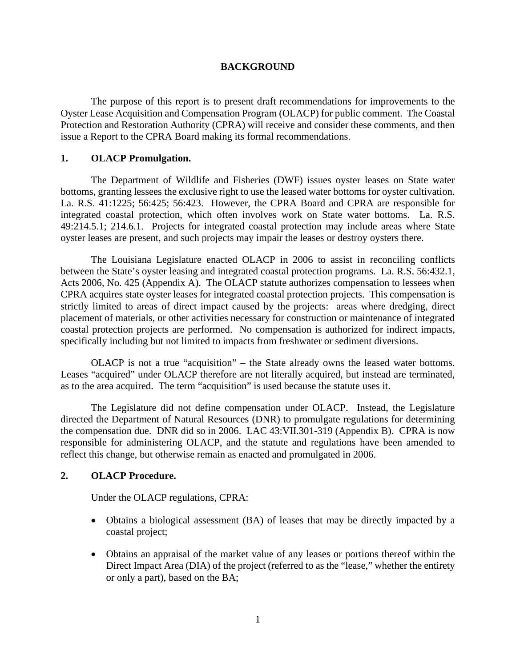#### **BACKGROUND**

The purpose of this report is to present draft recommendations for improvements to the Oyster Lease Acquisition and Compensation Program (OLACP) for public comment. The Coastal Protection and Restoration Authority (CPRA) will receive and consider these comments, and then issue a Report to the CPRA Board making its formal recommendations.

#### **1. OLACP Promulgation.**

The Department of Wildlife and Fisheries (DWF) issues oyster leases on State water bottoms, granting lessees the exclusive right to use the leased water bottoms for oyster cultivation. La. R.S. 41:1225; 56:425; 56:423. However, the CPRA Board and CPRA are responsible for integrated coastal protection, which often involves work on State water bottoms. La. R.S. 49:214.5.1; 214.6.1. Projects for integrated coastal protection may include areas where State oyster leases are present, and such projects may impair the leases or destroy oysters there.

The Louisiana Legislature enacted OLACP in 2006 to assist in reconciling conflicts between the State's oyster leasing and integrated coastal protection programs. La. R.S. 56:432.1, Acts 2006, No. 425 (Appendix A). The OLACP statute authorizes compensation to lessees when CPRA acquires state oyster leases for integrated coastal protection projects. This compensation is strictly limited to areas of direct impact caused by the projects: areas where dredging, direct placement of materials, or other activities necessary for construction or maintenance of integrated coastal protection projects are performed. No compensation is authorized for indirect impacts, specifically including but not limited to impacts from freshwater or sediment diversions.

OLACP is not a true "acquisition" – the State already owns the leased water bottoms. Leases "acquired" under OLACP therefore are not literally acquired, but instead are terminated, as to the area acquired. The term "acquisition" is used because the statute uses it.

The Legislature did not define compensation under OLACP. Instead, the Legislature directed the Department of Natural Resources (DNR) to promulgate regulations for determining the compensation due. DNR did so in 2006. LAC 43:VII.301-319 (Appendix B). CPRA is now responsible for administering OLACP, and the statute and regulations have been amended to reflect this change, but otherwise remain as enacted and promulgated in 2006.

## **2. OLACP Procedure.**

Under the OLACP regulations, CPRA:

- Obtains a biological assessment (BA) of leases that may be directly impacted by a coastal project;
- Obtains an appraisal of the market value of any leases or portions thereof within the Direct Impact Area (DIA) of the project (referred to as the "lease," whether the entirety or only a part), based on the BA;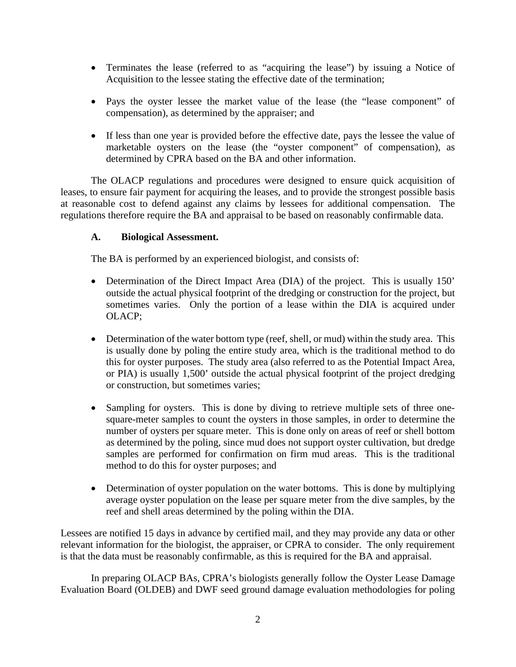- Terminates the lease (referred to as "acquiring the lease") by issuing a Notice of Acquisition to the lessee stating the effective date of the termination;
- Pays the oyster lessee the market value of the lease (the "lease component" of compensation), as determined by the appraiser; and
- If less than one year is provided before the effective date, pays the lessee the value of marketable oysters on the lease (the "oyster component" of compensation), as determined by CPRA based on the BA and other information.

The OLACP regulations and procedures were designed to ensure quick acquisition of leases, to ensure fair payment for acquiring the leases, and to provide the strongest possible basis at reasonable cost to defend against any claims by lessees for additional compensation. The regulations therefore require the BA and appraisal to be based on reasonably confirmable data.

## **A. Biological Assessment.**

The BA is performed by an experienced biologist, and consists of:

- Determination of the Direct Impact Area (DIA) of the project. This is usually 150' outside the actual physical footprint of the dredging or construction for the project, but sometimes varies. Only the portion of a lease within the DIA is acquired under OLACP;
- Determination of the water bottom type (reef, shell, or mud) within the study area. This is usually done by poling the entire study area, which is the traditional method to do this for oyster purposes. The study area (also referred to as the Potential Impact Area, or PIA) is usually 1,500' outside the actual physical footprint of the project dredging or construction, but sometimes varies;
- Sampling for oysters. This is done by diving to retrieve multiple sets of three onesquare-meter samples to count the oysters in those samples, in order to determine the number of oysters per square meter. This is done only on areas of reef or shell bottom as determined by the poling, since mud does not support oyster cultivation, but dredge samples are performed for confirmation on firm mud areas. This is the traditional method to do this for oyster purposes; and
- Determination of oyster population on the water bottoms. This is done by multiplying average oyster population on the lease per square meter from the dive samples, by the reef and shell areas determined by the poling within the DIA.

Lessees are notified 15 days in advance by certified mail, and they may provide any data or other relevant information for the biologist, the appraiser, or CPRA to consider. The only requirement is that the data must be reasonably confirmable, as this is required for the BA and appraisal.

In preparing OLACP BAs, CPRA's biologists generally follow the Oyster Lease Damage Evaluation Board (OLDEB) and DWF seed ground damage evaluation methodologies for poling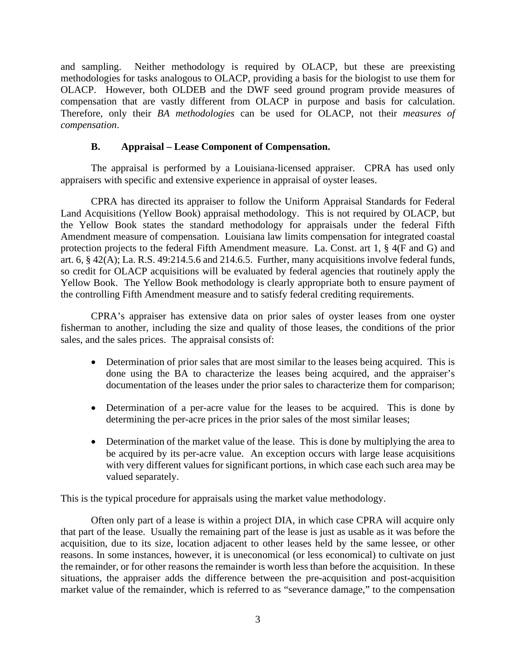and sampling. Neither methodology is required by OLACP, but these are preexisting methodologies for tasks analogous to OLACP, providing a basis for the biologist to use them for OLACP. However, both OLDEB and the DWF seed ground program provide measures of compensation that are vastly different from OLACP in purpose and basis for calculation. Therefore, only their *BA methodologies* can be used for OLACP, not their *measures of compensation*.

## **B. Appraisal – Lease Component of Compensation.**

The appraisal is performed by a Louisiana-licensed appraiser. CPRA has used only appraisers with specific and extensive experience in appraisal of oyster leases.

CPRA has directed its appraiser to follow the Uniform Appraisal Standards for Federal Land Acquisitions (Yellow Book) appraisal methodology. This is not required by OLACP, but the Yellow Book states the standard methodology for appraisals under the federal Fifth Amendment measure of compensation. Louisiana law limits compensation for integrated coastal protection projects to the federal Fifth Amendment measure. La. Const. art 1, § 4(F and G) and art. 6, § 42(A); La. R.S. 49:214.5.6 and 214.6.5. Further, many acquisitions involve federal funds, so credit for OLACP acquisitions will be evaluated by federal agencies that routinely apply the Yellow Book. The Yellow Book methodology is clearly appropriate both to ensure payment of the controlling Fifth Amendment measure and to satisfy federal crediting requirements.

CPRA's appraiser has extensive data on prior sales of oyster leases from one oyster fisherman to another, including the size and quality of those leases, the conditions of the prior sales, and the sales prices. The appraisal consists of:

- Determination of prior sales that are most similar to the leases being acquired. This is done using the BA to characterize the leases being acquired, and the appraiser's documentation of the leases under the prior sales to characterize them for comparison;
- Determination of a per-acre value for the leases to be acquired. This is done by determining the per-acre prices in the prior sales of the most similar leases;
- Determination of the market value of the lease. This is done by multiplying the area to be acquired by its per-acre value. An exception occurs with large lease acquisitions with very different values for significant portions, in which case each such area may be valued separately.

This is the typical procedure for appraisals using the market value methodology.

Often only part of a lease is within a project DIA, in which case CPRA will acquire only that part of the lease. Usually the remaining part of the lease is just as usable as it was before the acquisition, due to its size, location adjacent to other leases held by the same lessee, or other reasons. In some instances, however, it is uneconomical (or less economical) to cultivate on just the remainder, or for other reasons the remainder is worth less than before the acquisition. In these situations, the appraiser adds the difference between the pre-acquisition and post-acquisition market value of the remainder, which is referred to as "severance damage," to the compensation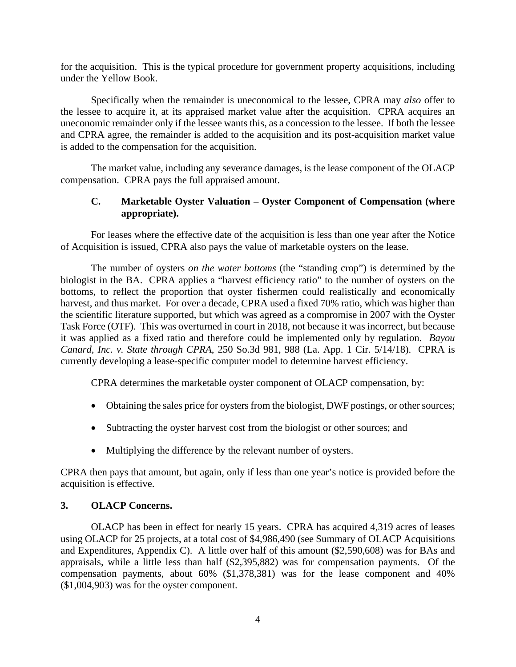for the acquisition. This is the typical procedure for government property acquisitions, including under the Yellow Book.

Specifically when the remainder is uneconomical to the lessee, CPRA may *also* offer to the lessee to acquire it, at its appraised market value after the acquisition. CPRA acquires an uneconomic remainder only if the lessee wants this, as a concession to the lessee. If both the lessee and CPRA agree, the remainder is added to the acquisition and its post-acquisition market value is added to the compensation for the acquisition.

The market value, including any severance damages, is the lease component of the OLACP compensation. CPRA pays the full appraised amount.

## **C. Marketable Oyster Valuation – Oyster Component of Compensation (where appropriate).**

For leases where the effective date of the acquisition is less than one year after the Notice of Acquisition is issued, CPRA also pays the value of marketable oysters on the lease.

The number of oysters *on the water bottoms* (the "standing crop") is determined by the biologist in the BA. CPRA applies a "harvest efficiency ratio" to the number of oysters on the bottoms, to reflect the proportion that oyster fishermen could realistically and economically harvest, and thus market. For over a decade, CPRA used a fixed 70% ratio, which was higher than the scientific literature supported, but which was agreed as a compromise in 2007 with the Oyster Task Force (OTF). This was overturned in court in 2018, not because it was incorrect, but because it was applied as a fixed ratio and therefore could be implemented only by regulation. *Bayou Canard, Inc. v. State through CPRA*, 250 So.3d 981, 988 (La. App. 1 Cir. 5/14/18). CPRA is currently developing a lease-specific computer model to determine harvest efficiency.

CPRA determines the marketable oyster component of OLACP compensation, by:

- Obtaining the sales price for oysters from the biologist, DWF postings, or other sources;
- Subtracting the oyster harvest cost from the biologist or other sources; and
- Multiplying the difference by the relevant number of oysters.

CPRA then pays that amount, but again, only if less than one year's notice is provided before the acquisition is effective.

## **3. OLACP Concerns.**

OLACP has been in effect for nearly 15 years. CPRA has acquired 4,319 acres of leases using OLACP for 25 projects, at a total cost of \$4,986,490 (see Summary of OLACP Acquisitions and Expenditures, Appendix C). A little over half of this amount (\$2,590,608) was for BAs and appraisals, while a little less than half (\$2,395,882) was for compensation payments. Of the compensation payments, about 60% (\$1,378,381) was for the lease component and 40% (\$1,004,903) was for the oyster component.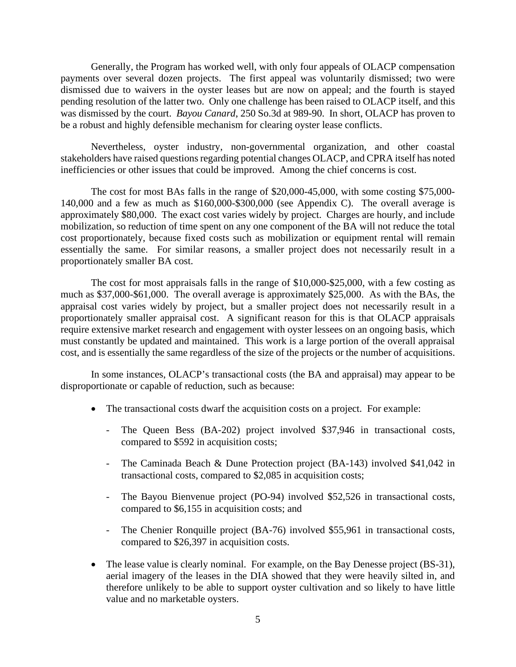Generally, the Program has worked well, with only four appeals of OLACP compensation payments over several dozen projects. The first appeal was voluntarily dismissed; two were dismissed due to waivers in the oyster leases but are now on appeal; and the fourth is stayed pending resolution of the latter two. Only one challenge has been raised to OLACP itself, and this was dismissed by the court. *Bayou Canard*, 250 So.3d at 989-90. In short, OLACP has proven to be a robust and highly defensible mechanism for clearing oyster lease conflicts.

Nevertheless, oyster industry, non-governmental organization, and other coastal stakeholders have raised questions regarding potential changes OLACP, and CPRA itself has noted inefficiencies or other issues that could be improved. Among the chief concerns is cost.

The cost for most BAs falls in the range of \$20,000-45,000, with some costing \$75,000- 140,000 and a few as much as \$160,000-\$300,000 (see Appendix C). The overall average is approximately \$80,000. The exact cost varies widely by project. Charges are hourly, and include mobilization, so reduction of time spent on any one component of the BA will not reduce the total cost proportionately, because fixed costs such as mobilization or equipment rental will remain essentially the same. For similar reasons, a smaller project does not necessarily result in a proportionately smaller BA cost.

The cost for most appraisals falls in the range of \$10,000-\$25,000, with a few costing as much as \$37,000-\$61,000. The overall average is approximately \$25,000. As with the BAs, the appraisal cost varies widely by project, but a smaller project does not necessarily result in a proportionately smaller appraisal cost. A significant reason for this is that OLACP appraisals require extensive market research and engagement with oyster lessees on an ongoing basis, which must constantly be updated and maintained. This work is a large portion of the overall appraisal cost, and is essentially the same regardless of the size of the projects or the number of acquisitions.

In some instances, OLACP's transactional costs (the BA and appraisal) may appear to be disproportionate or capable of reduction, such as because:

- The transactional costs dwarf the acquisition costs on a project. For example:
	- The Queen Bess (BA-202) project involved \$37,946 in transactional costs, compared to \$592 in acquisition costs;
	- The Caminada Beach & Dune Protection project (BA-143) involved \$41,042 in transactional costs, compared to \$2,085 in acquisition costs;
	- The Bayou Bienvenue project (PO-94) involved \$52,526 in transactional costs, compared to \$6,155 in acquisition costs; and
	- The Chenier Ronquille project (BA-76) involved \$55,961 in transactional costs, compared to \$26,397 in acquisition costs.
- The lease value is clearly nominal. For example, on the Bay Denesse project (BS-31), aerial imagery of the leases in the DIA showed that they were heavily silted in, and therefore unlikely to be able to support oyster cultivation and so likely to have little value and no marketable oysters.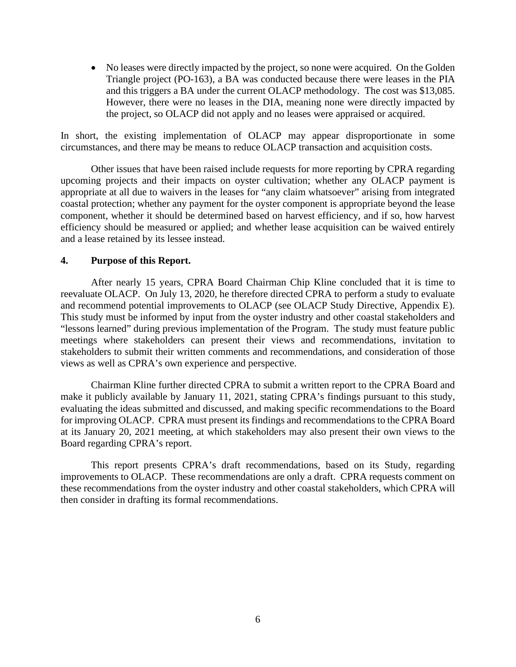• No leases were directly impacted by the project, so none were acquired. On the Golden Triangle project (PO-163), a BA was conducted because there were leases in the PIA and this triggers a BA under the current OLACP methodology. The cost was \$13,085. However, there were no leases in the DIA, meaning none were directly impacted by the project, so OLACP did not apply and no leases were appraised or acquired.

In short, the existing implementation of OLACP may appear disproportionate in some circumstances, and there may be means to reduce OLACP transaction and acquisition costs.

Other issues that have been raised include requests for more reporting by CPRA regarding upcoming projects and their impacts on oyster cultivation; whether any OLACP payment is appropriate at all due to waivers in the leases for "any claim whatsoever" arising from integrated coastal protection; whether any payment for the oyster component is appropriate beyond the lease component, whether it should be determined based on harvest efficiency, and if so, how harvest efficiency should be measured or applied; and whether lease acquisition can be waived entirely and a lease retained by its lessee instead.

#### **4. Purpose of this Report.**

After nearly 15 years, CPRA Board Chairman Chip Kline concluded that it is time to reevaluate OLACP. On July 13, 2020, he therefore directed CPRA to perform a study to evaluate and recommend potential improvements to OLACP (see OLACP Study Directive, Appendix E). This study must be informed by input from the oyster industry and other coastal stakeholders and "lessons learned" during previous implementation of the Program. The study must feature public meetings where stakeholders can present their views and recommendations, invitation to stakeholders to submit their written comments and recommendations, and consideration of those views as well as CPRA's own experience and perspective.

Chairman Kline further directed CPRA to submit a written report to the CPRA Board and make it publicly available by January 11, 2021, stating CPRA's findings pursuant to this study, evaluating the ideas submitted and discussed, and making specific recommendations to the Board for improving OLACP. CPRA must present its findings and recommendations to the CPRA Board at its January 20, 2021 meeting, at which stakeholders may also present their own views to the Board regarding CPRA's report.

This report presents CPRA's draft recommendations, based on its Study, regarding improvements to OLACP. These recommendations are only a draft. CPRA requests comment on these recommendations from the oyster industry and other coastal stakeholders, which CPRA will then consider in drafting its formal recommendations.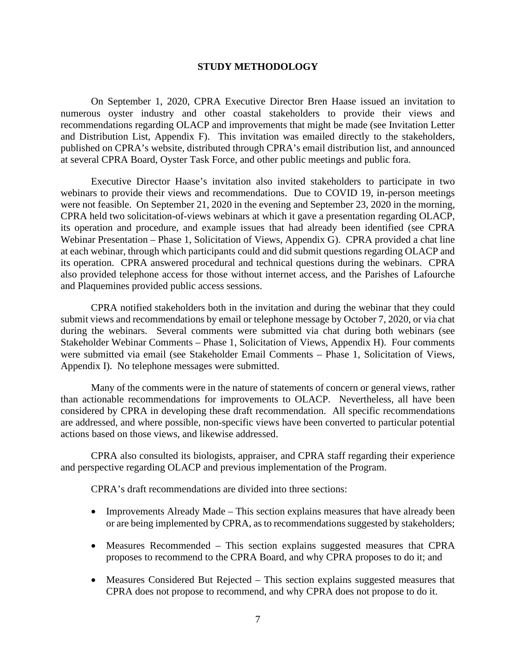#### **STUDY METHODOLOGY**

On September 1, 2020, CPRA Executive Director Bren Haase issued an invitation to numerous oyster industry and other coastal stakeholders to provide their views and recommendations regarding OLACP and improvements that might be made (see Invitation Letter and Distribution List, Appendix F). This invitation was emailed directly to the stakeholders, published on CPRA's website, distributed through CPRA's email distribution list, and announced at several CPRA Board, Oyster Task Force, and other public meetings and public fora.

Executive Director Haase's invitation also invited stakeholders to participate in two webinars to provide their views and recommendations. Due to COVID 19, in-person meetings were not feasible. On September 21, 2020 in the evening and September 23, 2020 in the morning, CPRA held two solicitation-of-views webinars at which it gave a presentation regarding OLACP, its operation and procedure, and example issues that had already been identified (see CPRA Webinar Presentation – Phase 1, Solicitation of Views, Appendix G). CPRA provided a chat line at each webinar, through which participants could and did submit questions regarding OLACP and its operation. CPRA answered procedural and technical questions during the webinars. CPRA also provided telephone access for those without internet access, and the Parishes of Lafourche and Plaquemines provided public access sessions.

CPRA notified stakeholders both in the invitation and during the webinar that they could submit views and recommendations by email or telephone message by October 7, 2020, or via chat during the webinars. Several comments were submitted via chat during both webinars (see Stakeholder Webinar Comments – Phase 1, Solicitation of Views, Appendix H). Four comments were submitted via email (see Stakeholder Email Comments – Phase 1, Solicitation of Views, Appendix I). No telephone messages were submitted.

Many of the comments were in the nature of statements of concern or general views, rather than actionable recommendations for improvements to OLACP. Nevertheless, all have been considered by CPRA in developing these draft recommendation. All specific recommendations are addressed, and where possible, non-specific views have been converted to particular potential actions based on those views, and likewise addressed.

CPRA also consulted its biologists, appraiser, and CPRA staff regarding their experience and perspective regarding OLACP and previous implementation of the Program.

CPRA's draft recommendations are divided into three sections:

- Improvements Already Made This section explains measures that have already been or are being implemented by CPRA, as to recommendations suggested by stakeholders;
- Measures Recommended This section explains suggested measures that CPRA proposes to recommend to the CPRA Board, and why CPRA proposes to do it; and
- Measures Considered But Rejected This section explains suggested measures that CPRA does not propose to recommend, and why CPRA does not propose to do it.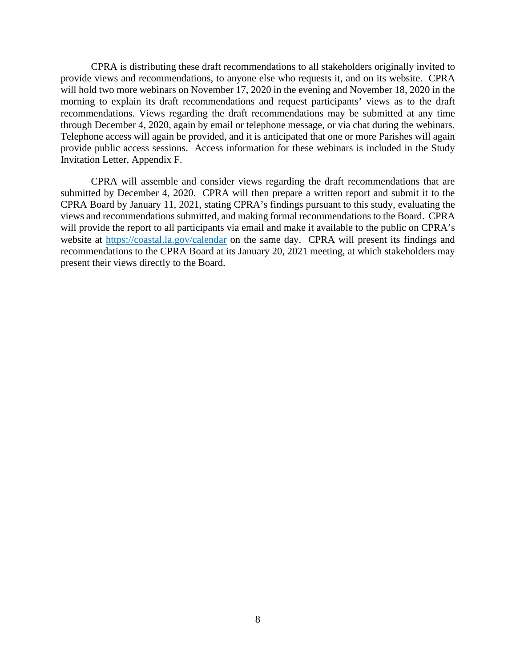CPRA is distributing these draft recommendations to all stakeholders originally invited to provide views and recommendations, to anyone else who requests it, and on its website. CPRA will hold two more webinars on November 17, 2020 in the evening and November 18, 2020 in the morning to explain its draft recommendations and request participants' views as to the draft recommendations. Views regarding the draft recommendations may be submitted at any time through December 4, 2020, again by email or telephone message, or via chat during the webinars. Telephone access will again be provided, and it is anticipated that one or more Parishes will again provide public access sessions. Access information for these webinars is included in the Study Invitation Letter, Appendix F.

CPRA will assemble and consider views regarding the draft recommendations that are submitted by December 4, 2020. CPRA will then prepare a written report and submit it to the CPRA Board by January 11, 2021, stating CPRA's findings pursuant to this study, evaluating the views and recommendations submitted, and making formal recommendations to the Board. CPRA will provide the report to all participants via email and make it available to the public on CPRA's website at [https://coastal.la.gov/calendar](https://coastal.la.gov/calendar/) on the same day. CPRA will present its findings and recommendations to the CPRA Board at its January 20, 2021 meeting, at which stakeholders may present their views directly to the Board.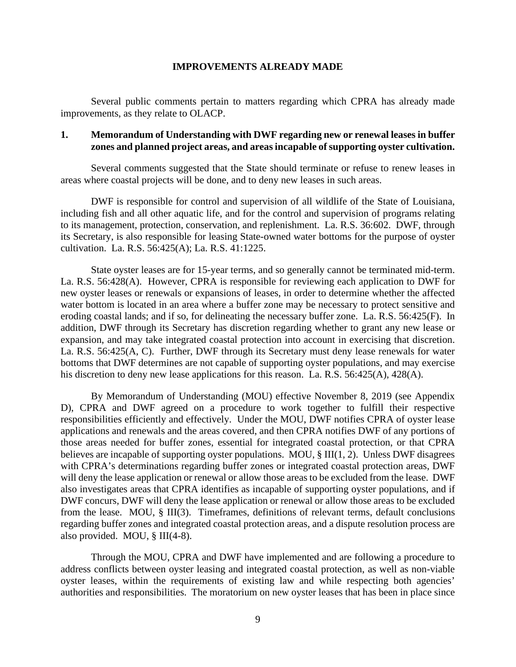#### **IMPROVEMENTS ALREADY MADE**

Several public comments pertain to matters regarding which CPRA has already made improvements, as they relate to OLACP.

### **1. Memorandum of Understanding with DWF regarding new or renewal leases in buffer zones and planned project areas, and areasincapable of supporting oyster cultivation.**

Several comments suggested that the State should terminate or refuse to renew leases in areas where coastal projects will be done, and to deny new leases in such areas.

DWF is responsible for control and supervision of all wildlife of the State of Louisiana, including fish and all other aquatic life, and for the control and supervision of programs relating to its management, protection, conservation, and replenishment. La. R.S. 36:602. DWF, through its Secretary, is also responsible for leasing State-owned water bottoms for the purpose of oyster cultivation. La. R.S. 56:425(A); La. R.S. 41:1225.

State oyster leases are for 15-year terms, and so generally cannot be terminated mid-term. La. R.S. 56:428(A). However, CPRA is responsible for reviewing each application to DWF for new oyster leases or renewals or expansions of leases, in order to determine whether the affected water bottom is located in an area where a buffer zone may be necessary to protect sensitive and eroding coastal lands; and if so, for delineating the necessary buffer zone. La. R.S. 56:425(F). In addition, DWF through its Secretary has discretion regarding whether to grant any new lease or expansion, and may take integrated coastal protection into account in exercising that discretion. La. R.S. 56:425(A, C). Further, DWF through its Secretary must deny lease renewals for water bottoms that DWF determines are not capable of supporting oyster populations, and may exercise his discretion to deny new lease applications for this reason. La. R.S. 56:425(A), 428(A).

By Memorandum of Understanding (MOU) effective November 8, 2019 (see Appendix D), CPRA and DWF agreed on a procedure to work together to fulfill their respective responsibilities efficiently and effectively. Under the MOU, DWF notifies CPRA of oyster lease applications and renewals and the areas covered, and then CPRA notifies DWF of any portions of those areas needed for buffer zones, essential for integrated coastal protection, or that CPRA believes are incapable of supporting oyster populations. MOU, § III(1, 2). Unless DWF disagrees with CPRA's determinations regarding buffer zones or integrated coastal protection areas, DWF will deny the lease application or renewal or allow those areas to be excluded from the lease. DWF also investigates areas that CPRA identifies as incapable of supporting oyster populations, and if DWF concurs, DWF will deny the lease application or renewal or allow those areas to be excluded from the lease. MOU, § III(3). Timeframes, definitions of relevant terms, default conclusions regarding buffer zones and integrated coastal protection areas, and a dispute resolution process are also provided. MOU, § III(4-8).

Through the MOU, CPRA and DWF have implemented and are following a procedure to address conflicts between oyster leasing and integrated coastal protection, as well as non-viable oyster leases, within the requirements of existing law and while respecting both agencies' authorities and responsibilities. The moratorium on new oyster leases that has been in place since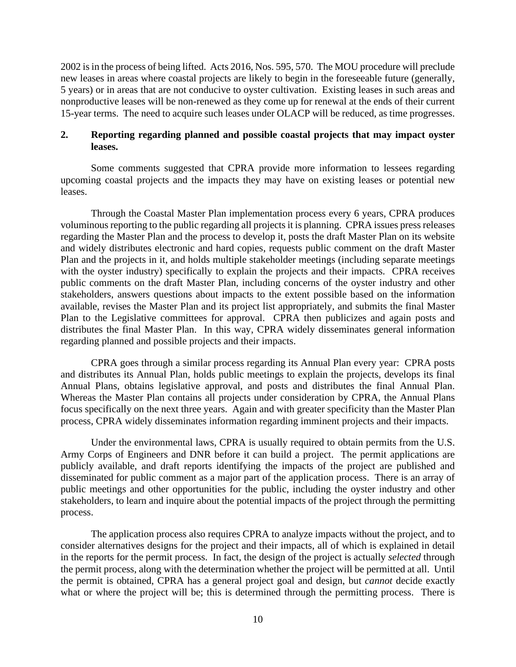2002 is in the process of being lifted. Acts 2016, Nos. 595, 570. The MOU procedure will preclude new leases in areas where coastal projects are likely to begin in the foreseeable future (generally, 5 years) or in areas that are not conducive to oyster cultivation. Existing leases in such areas and nonproductive leases will be non-renewed as they come up for renewal at the ends of their current 15-year terms. The need to acquire such leases under OLACP will be reduced, as time progresses.

### **2. Reporting regarding planned and possible coastal projects that may impact oyster leases.**

Some comments suggested that CPRA provide more information to lessees regarding upcoming coastal projects and the impacts they may have on existing leases or potential new leases.

Through the Coastal Master Plan implementation process every 6 years, CPRA produces voluminous reporting to the public regarding all projects it is planning. CPRA issues press releases regarding the Master Plan and the process to develop it, posts the draft Master Plan on its website and widely distributes electronic and hard copies, requests public comment on the draft Master Plan and the projects in it, and holds multiple stakeholder meetings (including separate meetings with the oyster industry) specifically to explain the projects and their impacts. CPRA receives public comments on the draft Master Plan, including concerns of the oyster industry and other stakeholders, answers questions about impacts to the extent possible based on the information available, revises the Master Plan and its project list appropriately, and submits the final Master Plan to the Legislative committees for approval. CPRA then publicizes and again posts and distributes the final Master Plan. In this way, CPRA widely disseminates general information regarding planned and possible projects and their impacts.

CPRA goes through a similar process regarding its Annual Plan every year: CPRA posts and distributes its Annual Plan, holds public meetings to explain the projects, develops its final Annual Plans, obtains legislative approval, and posts and distributes the final Annual Plan. Whereas the Master Plan contains all projects under consideration by CPRA, the Annual Plans focus specifically on the next three years. Again and with greater specificity than the Master Plan process, CPRA widely disseminates information regarding imminent projects and their impacts.

Under the environmental laws, CPRA is usually required to obtain permits from the U.S. Army Corps of Engineers and DNR before it can build a project. The permit applications are publicly available, and draft reports identifying the impacts of the project are published and disseminated for public comment as a major part of the application process. There is an array of public meetings and other opportunities for the public, including the oyster industry and other stakeholders, to learn and inquire about the potential impacts of the project through the permitting process.

The application process also requires CPRA to analyze impacts without the project, and to consider alternatives designs for the project and their impacts, all of which is explained in detail in the reports for the permit process. In fact, the design of the project is actually *selected* through the permit process, along with the determination whether the project will be permitted at all. Until the permit is obtained, CPRA has a general project goal and design, but *cannot* decide exactly what or where the project will be; this is determined through the permitting process. There is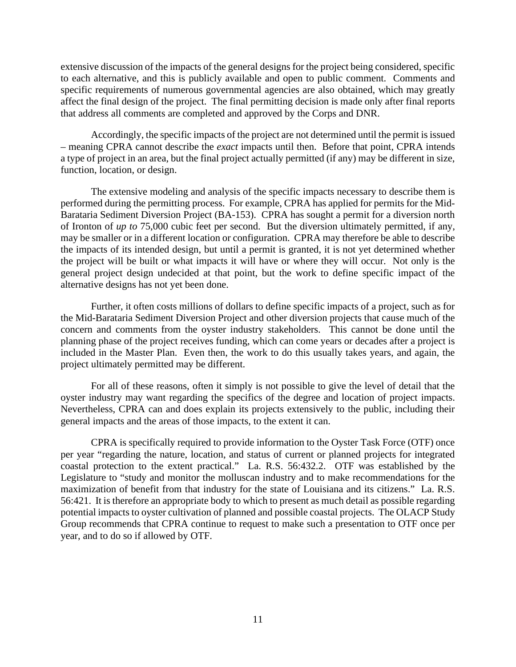extensive discussion of the impacts of the general designs for the project being considered, specific to each alternative, and this is publicly available and open to public comment. Comments and specific requirements of numerous governmental agencies are also obtained, which may greatly affect the final design of the project. The final permitting decision is made only after final reports that address all comments are completed and approved by the Corps and DNR.

Accordingly, the specific impacts of the project are not determined until the permit is issued – meaning CPRA cannot describe the *exact* impacts until then. Before that point, CPRA intends a type of project in an area, but the final project actually permitted (if any) may be different in size, function, location, or design.

The extensive modeling and analysis of the specific impacts necessary to describe them is performed during the permitting process. For example, CPRA has applied for permits for the Mid-Barataria Sediment Diversion Project (BA-153). CPRA has sought a permit for a diversion north of Ironton of *up to* 75,000 cubic feet per second. But the diversion ultimately permitted, if any, may be smaller or in a different location or configuration. CPRA may therefore be able to describe the impacts of its intended design, but until a permit is granted, it is not yet determined whether the project will be built or what impacts it will have or where they will occur. Not only is the general project design undecided at that point, but the work to define specific impact of the alternative designs has not yet been done.

Further, it often costs millions of dollars to define specific impacts of a project, such as for the Mid-Barataria Sediment Diversion Project and other diversion projects that cause much of the concern and comments from the oyster industry stakeholders. This cannot be done until the planning phase of the project receives funding, which can come years or decades after a project is included in the Master Plan. Even then, the work to do this usually takes years, and again, the project ultimately permitted may be different.

For all of these reasons, often it simply is not possible to give the level of detail that the oyster industry may want regarding the specifics of the degree and location of project impacts. Nevertheless, CPRA can and does explain its projects extensively to the public, including their general impacts and the areas of those impacts, to the extent it can.

CPRA is specifically required to provide information to the Oyster Task Force (OTF) once per year "regarding the nature, location, and status of current or planned projects for integrated coastal protection to the extent practical." La. R.S. 56:432.2. OTF was established by the Legislature to "study and monitor the molluscan industry and to make recommendations for the maximization of benefit from that industry for the state of Louisiana and its citizens." La. R.S. 56:421. It is therefore an appropriate body to which to present as much detail as possible regarding potential impacts to oyster cultivation of planned and possible coastal projects. The OLACP Study Group recommends that CPRA continue to request to make such a presentation to OTF once per year, and to do so if allowed by OTF.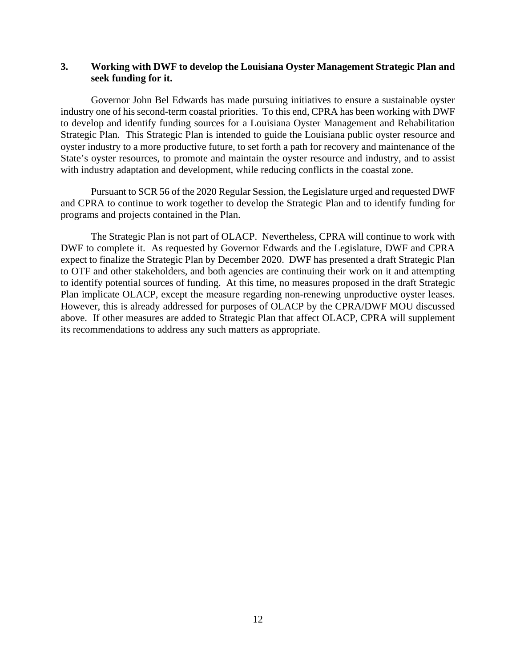## **3. Working with DWF to develop the Louisiana Oyster Management Strategic Plan and seek funding for it.**

Governor John Bel Edwards has made pursuing initiatives to ensure a sustainable oyster industry one of his second-term coastal priorities. To this end, CPRA has been working with DWF to develop and identify funding sources for a Louisiana Oyster Management and Rehabilitation Strategic Plan. This Strategic Plan is intended to guide the Louisiana public oyster resource and oyster industry to a more productive future, to set forth a path for recovery and maintenance of the State's oyster resources, to promote and maintain the oyster resource and industry, and to assist with industry adaptation and development, while reducing conflicts in the coastal zone.

Pursuant to SCR 56 of the 2020 Regular Session, the Legislature urged and requested DWF and CPRA to continue to work together to develop the Strategic Plan and to identify funding for programs and projects contained in the Plan.

The Strategic Plan is not part of OLACP. Nevertheless, CPRA will continue to work with DWF to complete it. As requested by Governor Edwards and the Legislature, DWF and CPRA expect to finalize the Strategic Plan by December 2020. DWF has presented a draft Strategic Plan to OTF and other stakeholders, and both agencies are continuing their work on it and attempting to identify potential sources of funding. At this time, no measures proposed in the draft Strategic Plan implicate OLACP, except the measure regarding non-renewing unproductive oyster leases. However, this is already addressed for purposes of OLACP by the CPRA/DWF MOU discussed above. If other measures are added to Strategic Plan that affect OLACP, CPRA will supplement its recommendations to address any such matters as appropriate.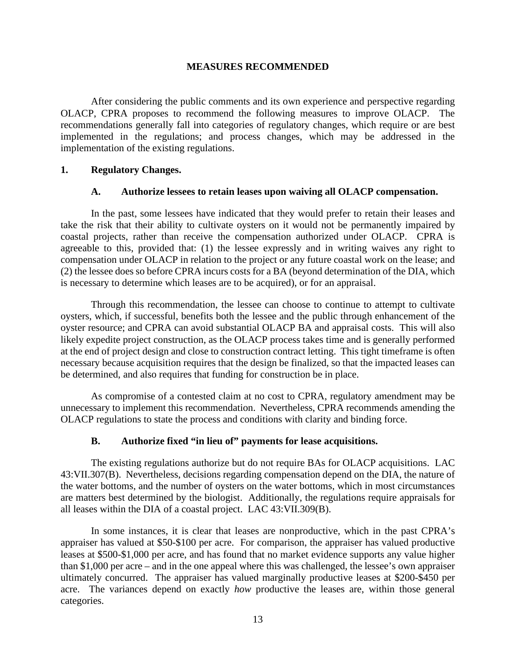#### **MEASURES RECOMMENDED**

After considering the public comments and its own experience and perspective regarding OLACP, CPRA proposes to recommend the following measures to improve OLACP. The recommendations generally fall into categories of regulatory changes, which require or are best implemented in the regulations; and process changes, which may be addressed in the implementation of the existing regulations.

#### **1. Regulatory Changes.**

#### **A. Authorize lessees to retain leases upon waiving all OLACP compensation.**

In the past, some lessees have indicated that they would prefer to retain their leases and take the risk that their ability to cultivate oysters on it would not be permanently impaired by coastal projects, rather than receive the compensation authorized under OLACP. CPRA is agreeable to this, provided that: (1) the lessee expressly and in writing waives any right to compensation under OLACP in relation to the project or any future coastal work on the lease; and (2) the lessee does so before CPRA incurs costs for a BA (beyond determination of the DIA, which is necessary to determine which leases are to be acquired), or for an appraisal.

Through this recommendation, the lessee can choose to continue to attempt to cultivate oysters, which, if successful, benefits both the lessee and the public through enhancement of the oyster resource; and CPRA can avoid substantial OLACP BA and appraisal costs. This will also likely expedite project construction, as the OLACP process takes time and is generally performed at the end of project design and close to construction contract letting. This tight timeframe is often necessary because acquisition requires that the design be finalized, so that the impacted leases can be determined, and also requires that funding for construction be in place.

As compromise of a contested claim at no cost to CPRA, regulatory amendment may be unnecessary to implement this recommendation. Nevertheless, CPRA recommends amending the OLACP regulations to state the process and conditions with clarity and binding force.

## **B. Authorize fixed "in lieu of" payments for lease acquisitions.**

The existing regulations authorize but do not require BAs for OLACP acquisitions. LAC 43:VII.307(B). Nevertheless, decisions regarding compensation depend on the DIA, the nature of the water bottoms, and the number of oysters on the water bottoms, which in most circumstances are matters best determined by the biologist. Additionally, the regulations require appraisals for all leases within the DIA of a coastal project. LAC 43:VII.309(B).

In some instances, it is clear that leases are nonproductive, which in the past CPRA's appraiser has valued at \$50-\$100 per acre. For comparison, the appraiser has valued productive leases at \$500-\$1,000 per acre, and has found that no market evidence supports any value higher than \$1,000 per acre – and in the one appeal where this was challenged, the lessee's own appraiser ultimately concurred. The appraiser has valued marginally productive leases at \$200-\$450 per acre. The variances depend on exactly *how* productive the leases are, within those general categories.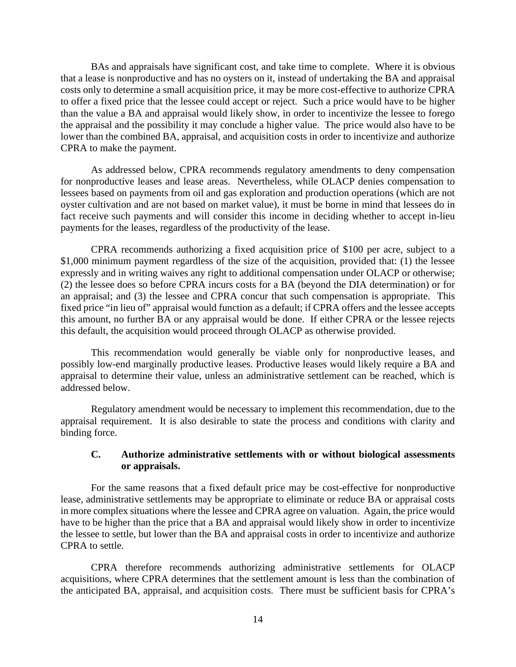BAs and appraisals have significant cost, and take time to complete. Where it is obvious that a lease is nonproductive and has no oysters on it, instead of undertaking the BA and appraisal costs only to determine a small acquisition price, it may be more cost-effective to authorize CPRA to offer a fixed price that the lessee could accept or reject. Such a price would have to be higher than the value a BA and appraisal would likely show, in order to incentivize the lessee to forego the appraisal and the possibility it may conclude a higher value. The price would also have to be lower than the combined BA, appraisal, and acquisition costs in order to incentivize and authorize CPRA to make the payment.

As addressed below, CPRA recommends regulatory amendments to deny compensation for nonproductive leases and lease areas. Nevertheless, while OLACP denies compensation to lessees based on payments from oil and gas exploration and production operations (which are not oyster cultivation and are not based on market value), it must be borne in mind that lessees do in fact receive such payments and will consider this income in deciding whether to accept in-lieu payments for the leases, regardless of the productivity of the lease.

CPRA recommends authorizing a fixed acquisition price of \$100 per acre, subject to a \$1,000 minimum payment regardless of the size of the acquisition, provided that: (1) the lessee expressly and in writing waives any right to additional compensation under OLACP or otherwise; (2) the lessee does so before CPRA incurs costs for a BA (beyond the DIA determination) or for an appraisal; and (3) the lessee and CPRA concur that such compensation is appropriate. This fixed price "in lieu of" appraisal would function as a default; if CPRA offers and the lessee accepts this amount, no further BA or any appraisal would be done. If either CPRA or the lessee rejects this default, the acquisition would proceed through OLACP as otherwise provided.

This recommendation would generally be viable only for nonproductive leases, and possibly low-end marginally productive leases. Productive leases would likely require a BA and appraisal to determine their value, unless an administrative settlement can be reached, which is addressed below.

Regulatory amendment would be necessary to implement this recommendation, due to the appraisal requirement. It is also desirable to state the process and conditions with clarity and binding force.

## **C. Authorize administrative settlements with or without biological assessments or appraisals.**

For the same reasons that a fixed default price may be cost-effective for nonproductive lease, administrative settlements may be appropriate to eliminate or reduce BA or appraisal costs in more complex situations where the lessee and CPRA agree on valuation. Again, the price would have to be higher than the price that a BA and appraisal would likely show in order to incentivize the lessee to settle, but lower than the BA and appraisal costs in order to incentivize and authorize CPRA to settle.

CPRA therefore recommends authorizing administrative settlements for OLACP acquisitions, where CPRA determines that the settlement amount is less than the combination of the anticipated BA, appraisal, and acquisition costs. There must be sufficient basis for CPRA's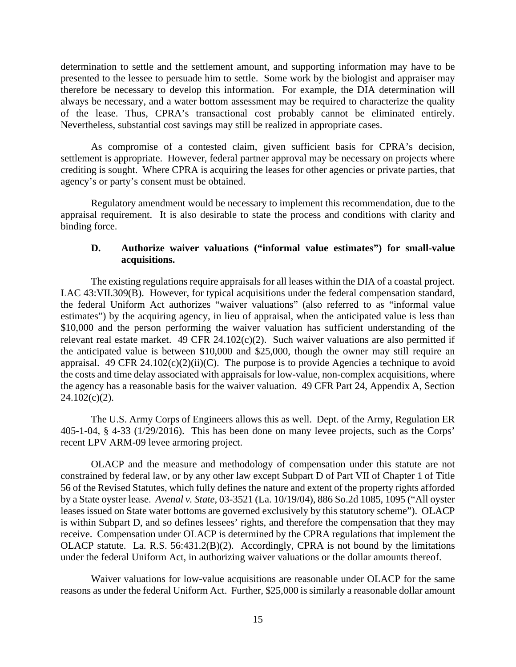determination to settle and the settlement amount, and supporting information may have to be presented to the lessee to persuade him to settle. Some work by the biologist and appraiser may therefore be necessary to develop this information. For example, the DIA determination will always be necessary, and a water bottom assessment may be required to characterize the quality of the lease. Thus, CPRA's transactional cost probably cannot be eliminated entirely. Nevertheless, substantial cost savings may still be realized in appropriate cases.

As compromise of a contested claim, given sufficient basis for CPRA's decision, settlement is appropriate. However, federal partner approval may be necessary on projects where crediting is sought. Where CPRA is acquiring the leases for other agencies or private parties, that agency's or party's consent must be obtained.

Regulatory amendment would be necessary to implement this recommendation, due to the appraisal requirement. It is also desirable to state the process and conditions with clarity and binding force.

#### **D. Authorize waiver valuations ("informal value estimates") for small-value acquisitions.**

The existing regulations require appraisals for all leases within the DIA of a coastal project. LAC 43:VII.309(B). However, for typical acquisitions under the federal compensation standard, the federal Uniform Act authorizes "waiver valuations" (also referred to as "informal value estimates") by the acquiring agency, in lieu of appraisal, when the anticipated value is less than \$10,000 and the person performing the waiver valuation has sufficient understanding of the relevant real estate market. 49 CFR 24.102 $(c)(2)$ . Such waiver valuations are also permitted if the anticipated value is between \$10,000 and \$25,000, though the owner may still require an appraisal. 49 CFR 24.102(c)(2)(ii)(C). The purpose is to provide Agencies a technique to avoid the costs and time delay associated with appraisals for low-value, non-complex acquisitions, where the agency has a reasonable basis for the waiver valuation. 49 CFR Part 24, Appendix A, Section  $24.102(c)(2)$ .

The U.S. Army Corps of Engineers allows this as well. Dept. of the Army, Regulation ER 405-1-04, § 4-33 (1/29/2016). This has been done on many levee projects, such as the Corps' recent LPV ARM-09 levee armoring project.

OLACP and the measure and methodology of compensation under this statute are not constrained by federal law, or by any other law except Subpart D of Part VII of Chapter 1 of Title 56 of the Revised Statutes, which fully defines the nature and extent of the property rights afforded by a State oyster lease. *Avenal v. State*, 03-3521 (La. 10/19/04), 886 So.2d 1085, 1095 ("All oyster leases issued on State water bottoms are governed exclusively by this statutory scheme"). OLACP is within Subpart D, and so defines lessees' rights, and therefore the compensation that they may receive. Compensation under OLACP is determined by the CPRA regulations that implement the OLACP statute. La. R.S. 56:431.2(B)(2). Accordingly, CPRA is not bound by the limitations under the federal Uniform Act, in authorizing waiver valuations or the dollar amounts thereof.

Waiver valuations for low-value acquisitions are reasonable under OLACP for the same reasons as under the federal Uniform Act. Further, \$25,000 is similarly a reasonable dollar amount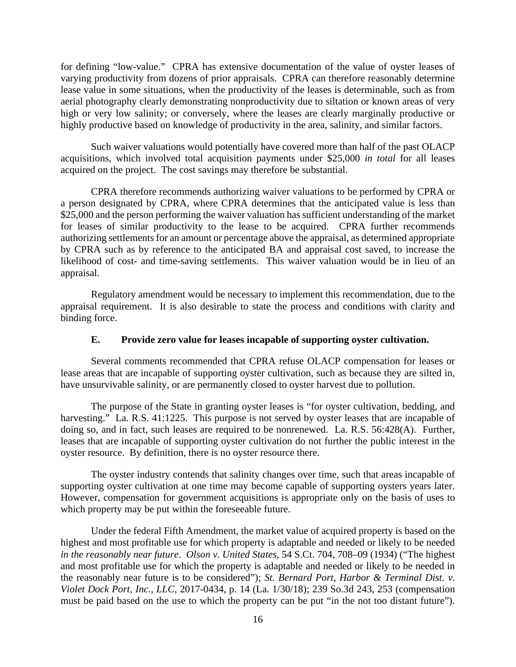for defining "low-value." CPRA has extensive documentation of the value of oyster leases of varying productivity from dozens of prior appraisals. CPRA can therefore reasonably determine lease value in some situations, when the productivity of the leases is determinable, such as from aerial photography clearly demonstrating nonproductivity due to siltation or known areas of very high or very low salinity; or conversely, where the leases are clearly marginally productive or highly productive based on knowledge of productivity in the area, salinity, and similar factors.

Such waiver valuations would potentially have covered more than half of the past OLACP acquisitions, which involved total acquisition payments under \$25,000 *in total* for all leases acquired on the project. The cost savings may therefore be substantial.

CPRA therefore recommends authorizing waiver valuations to be performed by CPRA or a person designated by CPRA, where CPRA determines that the anticipated value is less than \$25,000 and the person performing the waiver valuation has sufficient understanding of the market for leases of similar productivity to the lease to be acquired. CPRA further recommends authorizing settlements for an amount or percentage above the appraisal, as determined appropriate by CPRA such as by reference to the anticipated BA and appraisal cost saved, to increase the likelihood of cost- and time-saving settlements. This waiver valuation would be in lieu of an appraisal.

Regulatory amendment would be necessary to implement this recommendation, due to the appraisal requirement. It is also desirable to state the process and conditions with clarity and binding force.

## **E. Provide zero value for leases incapable of supporting oyster cultivation.**

Several comments recommended that CPRA refuse OLACP compensation for leases or lease areas that are incapable of supporting oyster cultivation, such as because they are silted in, have unsurvivable salinity, or are permanently closed to oyster harvest due to pollution.

The purpose of the State in granting oyster leases is "for oyster cultivation, bedding, and harvesting." La. R.S. 41:1225. This purpose is not served by oyster leases that are incapable of doing so, and in fact, such leases are required to be nonrenewed. La. R.S. 56:428(A). Further, leases that are incapable of supporting oyster cultivation do not further the public interest in the oyster resource. By definition, there is no oyster resource there.

The oyster industry contends that salinity changes over time, such that areas incapable of supporting oyster cultivation at one time may become capable of supporting oysters years later. However, compensation for government acquisitions is appropriate only on the basis of uses to which property may be put within the foreseeable future.

Under the federal Fifth Amendment, the market value of acquired property is based on the highest and most profitable use for which property is adaptable and needed or likely to be needed *in the reasonably near future*. *Olson v. United States*, 54 S.Ct. 704, 708–09 (1934) ("The highest and most profitable use for which the property is adaptable and needed or likely to be needed in the reasonably near future is to be considered"); *St. Bernard Port, Harbor & Terminal Dist. v. Violet Dock Port, Inc., LLC*, 2017-0434, p. 14 (La. 1/30/18); 239 So.3d 243, 253 (compensation must be paid based on the use to which the property can be put "in the not too distant future").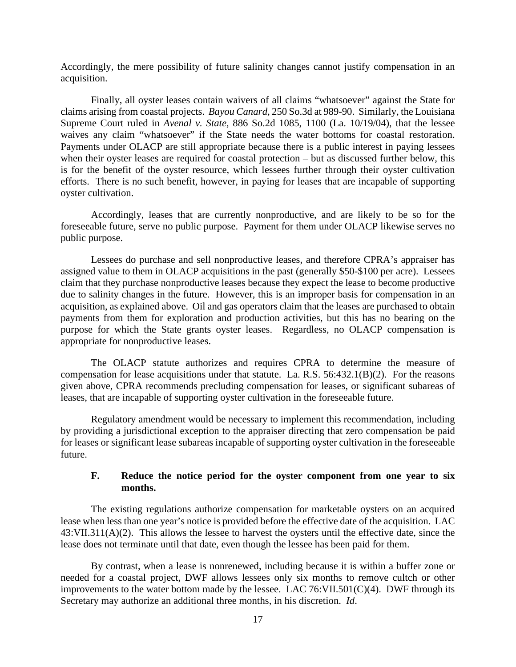Accordingly, the mere possibility of future salinity changes cannot justify compensation in an acquisition.

Finally, all oyster leases contain waivers of all claims "whatsoever" against the State for claims arising from coastal projects. *Bayou Canard*, 250 So.3d at 989-90. Similarly, the Louisiana Supreme Court ruled in *Avenal v. State*, 886 So.2d 1085, 1100 (La. 10/19/04), that the lessee waives any claim "whatsoever" if the State needs the water bottoms for coastal restoration. Payments under OLACP are still appropriate because there is a public interest in paying lessees when their oyster leases are required for coastal protection – but as discussed further below, this is for the benefit of the oyster resource, which lessees further through their oyster cultivation efforts. There is no such benefit, however, in paying for leases that are incapable of supporting oyster cultivation.

Accordingly, leases that are currently nonproductive, and are likely to be so for the foreseeable future, serve no public purpose. Payment for them under OLACP likewise serves no public purpose.

Lessees do purchase and sell nonproductive leases, and therefore CPRA's appraiser has assigned value to them in OLACP acquisitions in the past (generally \$50-\$100 per acre). Lessees claim that they purchase nonproductive leases because they expect the lease to become productive due to salinity changes in the future. However, this is an improper basis for compensation in an acquisition, as explained above. Oil and gas operators claim that the leases are purchased to obtain payments from them for exploration and production activities, but this has no bearing on the purpose for which the State grants oyster leases. Regardless, no OLACP compensation is appropriate for nonproductive leases.

The OLACP statute authorizes and requires CPRA to determine the measure of compensation for lease acquisitions under that statute. La. R.S. 56:432.1(B)(2). For the reasons given above, CPRA recommends precluding compensation for leases, or significant subareas of leases, that are incapable of supporting oyster cultivation in the foreseeable future.

Regulatory amendment would be necessary to implement this recommendation, including by providing a jurisdictional exception to the appraiser directing that zero compensation be paid for leases or significant lease subareas incapable of supporting oyster cultivation in the foreseeable future.

## **F. Reduce the notice period for the oyster component from one year to six months.**

The existing regulations authorize compensation for marketable oysters on an acquired lease when less than one year's notice is provided before the effective date of the acquisition. LAC 43:VII.311(A)(2). This allows the lessee to harvest the oysters until the effective date, since the lease does not terminate until that date, even though the lessee has been paid for them.

By contrast, when a lease is nonrenewed, including because it is within a buffer zone or needed for a coastal project, DWF allows lessees only six months to remove cultch or other improvements to the water bottom made by the lessee. LAC 76:VII.501(C)(4). DWF through its Secretary may authorize an additional three months, in his discretion. *Id*.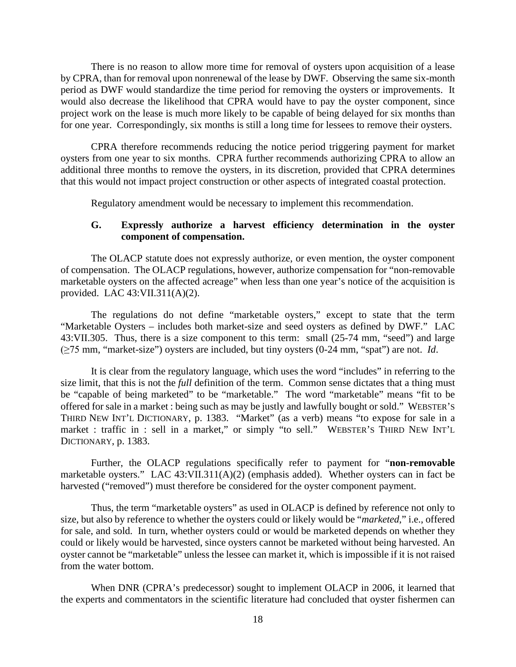There is no reason to allow more time for removal of oysters upon acquisition of a lease by CPRA, than for removal upon nonrenewal of the lease by DWF. Observing the same six-month period as DWF would standardize the time period for removing the oysters or improvements. It would also decrease the likelihood that CPRA would have to pay the oyster component, since project work on the lease is much more likely to be capable of being delayed for six months than for one year. Correspondingly, six months is still a long time for lessees to remove their oysters.

CPRA therefore recommends reducing the notice period triggering payment for market oysters from one year to six months. CPRA further recommends authorizing CPRA to allow an additional three months to remove the oysters, in its discretion, provided that CPRA determines that this would not impact project construction or other aspects of integrated coastal protection.

Regulatory amendment would be necessary to implement this recommendation.

#### **G. Expressly authorize a harvest efficiency determination in the oyster component of compensation.**

The OLACP statute does not expressly authorize, or even mention, the oyster component of compensation. The OLACP regulations, however, authorize compensation for "non-removable marketable oysters on the affected acreage" when less than one year's notice of the acquisition is provided. LAC 43:VII.311(A)(2).

The regulations do not define "marketable oysters," except to state that the term "Marketable Oysters – includes both market-size and seed oysters as defined by DWF." LAC 43:VII.305. Thus, there is a size component to this term: small (25-74 mm, "seed") and large (≥75 mm, "market-size") oysters are included, but tiny oysters (0-24 mm, "spat") are not. *Id*.

It is clear from the regulatory language, which uses the word "includes" in referring to the size limit, that this is not the *full* definition of the term. Common sense dictates that a thing must be "capable of being marketed" to be "marketable." The word "marketable" means "fit to be offered for sale in a market : being such as may be justly and lawfully bought or sold." WEBSTER'S THIRD NEW INT'L DICTIONARY, p. 1383. "Market" (as a verb) means "to expose for sale in a market : traffic in : sell in a market," or simply "to sell." WEBSTER'S THIRD NEW INT'L DICTIONARY, p. 1383.

Further, the OLACP regulations specifically refer to payment for "**non-removable** marketable oysters." LAC 43:VII.311(A)(2) (emphasis added). Whether oysters can in fact be harvested ("removed") must therefore be considered for the oyster component payment.

Thus, the term "marketable oysters" as used in OLACP is defined by reference not only to size, but also by reference to whether the oysters could or likely would be "*marketed*," i.e., offered for sale, and sold. In turn, whether oysters could or would be marketed depends on whether they could or likely would be harvested, since oysters cannot be marketed without being harvested. An oyster cannot be "marketable" unless the lessee can market it, which is impossible if it is not raised from the water bottom.

When DNR (CPRA's predecessor) sought to implement OLACP in 2006, it learned that the experts and commentators in the scientific literature had concluded that oyster fishermen can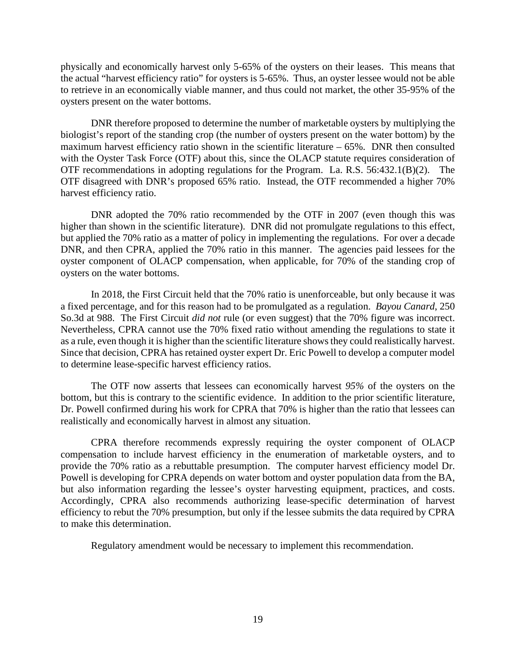physically and economically harvest only 5-65% of the oysters on their leases. This means that the actual "harvest efficiency ratio" for oysters is 5-65%. Thus, an oyster lessee would not be able to retrieve in an economically viable manner, and thus could not market, the other 35-95% of the oysters present on the water bottoms.

DNR therefore proposed to determine the number of marketable oysters by multiplying the biologist's report of the standing crop (the number of oysters present on the water bottom) by the maximum harvest efficiency ratio shown in the scientific literature  $-65%$ . DNR then consulted with the Oyster Task Force (OTF) about this, since the OLACP statute requires consideration of OTF recommendations in adopting regulations for the Program. La. R.S. 56:432.1(B)(2). The OTF disagreed with DNR's proposed 65% ratio. Instead, the OTF recommended a higher 70% harvest efficiency ratio.

DNR adopted the 70% ratio recommended by the OTF in 2007 (even though this was higher than shown in the scientific literature). DNR did not promulgate regulations to this effect, but applied the 70% ratio as a matter of policy in implementing the regulations. For over a decade DNR, and then CPRA, applied the 70% ratio in this manner. The agencies paid lessees for the oyster component of OLACP compensation, when applicable, for 70% of the standing crop of oysters on the water bottoms.

In 2018, the First Circuit held that the 70% ratio is unenforceable, but only because it was a fixed percentage, and for this reason had to be promulgated as a regulation. *Bayou Canard*, 250 So.3d at 988. The First Circuit *did not* rule (or even suggest) that the 70% figure was incorrect. Nevertheless, CPRA cannot use the 70% fixed ratio without amending the regulations to state it as a rule, even though it is higher than the scientific literature shows they could realistically harvest. Since that decision, CPRA has retained oyster expert Dr. Eric Powell to develop a computer model to determine lease-specific harvest efficiency ratios.

The OTF now asserts that lessees can economically harvest *95%* of the oysters on the bottom, but this is contrary to the scientific evidence. In addition to the prior scientific literature, Dr. Powell confirmed during his work for CPRA that 70% is higher than the ratio that lessees can realistically and economically harvest in almost any situation.

CPRA therefore recommends expressly requiring the oyster component of OLACP compensation to include harvest efficiency in the enumeration of marketable oysters, and to provide the 70% ratio as a rebuttable presumption. The computer harvest efficiency model Dr. Powell is developing for CPRA depends on water bottom and oyster population data from the BA, but also information regarding the lessee's oyster harvesting equipment, practices, and costs. Accordingly, CPRA also recommends authorizing lease-specific determination of harvest efficiency to rebut the 70% presumption, but only if the lessee submits the data required by CPRA to make this determination.

Regulatory amendment would be necessary to implement this recommendation.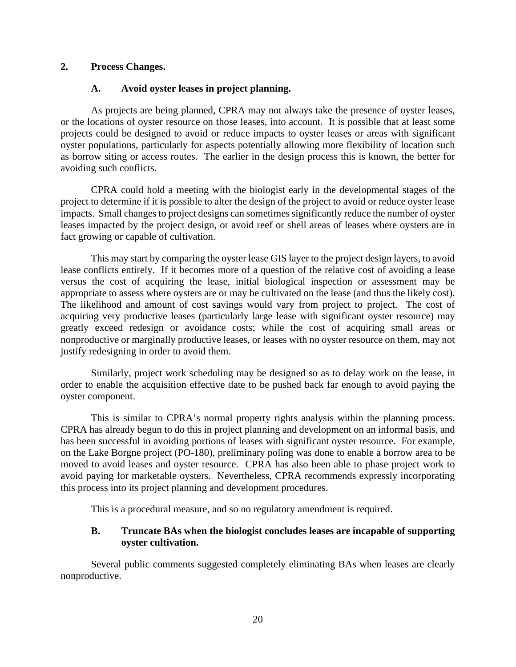## **2. Process Changes.**

## **A. Avoid oyster leases in project planning.**

As projects are being planned, CPRA may not always take the presence of oyster leases, or the locations of oyster resource on those leases, into account. It is possible that at least some projects could be designed to avoid or reduce impacts to oyster leases or areas with significant oyster populations, particularly for aspects potentially allowing more flexibility of location such as borrow siting or access routes. The earlier in the design process this is known, the better for avoiding such conflicts.

CPRA could hold a meeting with the biologist early in the developmental stages of the project to determine if it is possible to alter the design of the project to avoid or reduce oyster lease impacts. Small changes to project designs can sometimes significantly reduce the number of oyster leases impacted by the project design, or avoid reef or shell areas of leases where oysters are in fact growing or capable of cultivation.

This may start by comparing the oyster lease GIS layer to the project design layers, to avoid lease conflicts entirely. If it becomes more of a question of the relative cost of avoiding a lease versus the cost of acquiring the lease, initial biological inspection or assessment may be appropriate to assess where oysters are or may be cultivated on the lease (and thus the likely cost). The likelihood and amount of cost savings would vary from project to project. The cost of acquiring very productive leases (particularly large lease with significant oyster resource) may greatly exceed redesign or avoidance costs; while the cost of acquiring small areas or nonproductive or marginally productive leases, or leases with no oyster resource on them, may not justify redesigning in order to avoid them.

Similarly, project work scheduling may be designed so as to delay work on the lease, in order to enable the acquisition effective date to be pushed back far enough to avoid paying the oyster component.

This is similar to CPRA's normal property rights analysis within the planning process. CPRA has already begun to do this in project planning and development on an informal basis, and has been successful in avoiding portions of leases with significant oyster resource. For example, on the Lake Borgne project (PO-180), preliminary poling was done to enable a borrow area to be moved to avoid leases and oyster resource. CPRA has also been able to phase project work to avoid paying for marketable oysters. Nevertheless, CPRA recommends expressly incorporating this process into its project planning and development procedures.

This is a procedural measure, and so no regulatory amendment is required.

## **B. Truncate BAs when the biologist concludes leases are incapable of supporting oyster cultivation.**

Several public comments suggested completely eliminating BAs when leases are clearly nonproductive.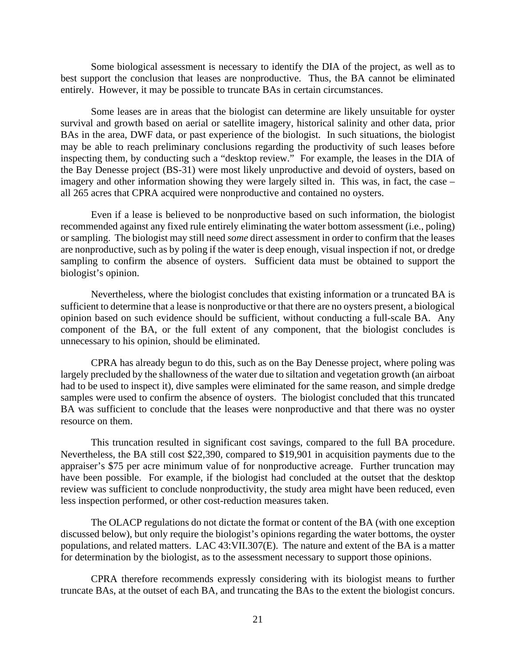Some biological assessment is necessary to identify the DIA of the project, as well as to best support the conclusion that leases are nonproductive. Thus, the BA cannot be eliminated entirely. However, it may be possible to truncate BAs in certain circumstances.

Some leases are in areas that the biologist can determine are likely unsuitable for oyster survival and growth based on aerial or satellite imagery, historical salinity and other data, prior BAs in the area, DWF data, or past experience of the biologist. In such situations, the biologist may be able to reach preliminary conclusions regarding the productivity of such leases before inspecting them, by conducting such a "desktop review." For example, the leases in the DIA of the Bay Denesse project (BS-31) were most likely unproductive and devoid of oysters, based on imagery and other information showing they were largely silted in. This was, in fact, the case – all 265 acres that CPRA acquired were nonproductive and contained no oysters.

Even if a lease is believed to be nonproductive based on such information, the biologist recommended against any fixed rule entirely eliminating the water bottom assessment (i.e., poling) or sampling. The biologist may still need *some* direct assessment in order to confirm that the leases are nonproductive, such as by poling if the water is deep enough, visual inspection if not, or dredge sampling to confirm the absence of oysters. Sufficient data must be obtained to support the biologist's opinion.

Nevertheless, where the biologist concludes that existing information or a truncated BA is sufficient to determine that a lease is nonproductive or that there are no oysters present, a biological opinion based on such evidence should be sufficient, without conducting a full-scale BA. Any component of the BA, or the full extent of any component, that the biologist concludes is unnecessary to his opinion, should be eliminated.

CPRA has already begun to do this, such as on the Bay Denesse project, where poling was largely precluded by the shallowness of the water due to siltation and vegetation growth (an airboat had to be used to inspect it), dive samples were eliminated for the same reason, and simple dredge samples were used to confirm the absence of oysters. The biologist concluded that this truncated BA was sufficient to conclude that the leases were nonproductive and that there was no oyster resource on them.

This truncation resulted in significant cost savings, compared to the full BA procedure. Nevertheless, the BA still cost \$22,390, compared to \$19,901 in acquisition payments due to the appraiser's \$75 per acre minimum value of for nonproductive acreage. Further truncation may have been possible. For example, if the biologist had concluded at the outset that the desktop review was sufficient to conclude nonproductivity, the study area might have been reduced, even less inspection performed, or other cost-reduction measures taken.

The OLACP regulations do not dictate the format or content of the BA (with one exception discussed below), but only require the biologist's opinions regarding the water bottoms, the oyster populations, and related matters. LAC 43:VII.307(E). The nature and extent of the BA is a matter for determination by the biologist, as to the assessment necessary to support those opinions.

CPRA therefore recommends expressly considering with its biologist means to further truncate BAs, at the outset of each BA, and truncating the BAs to the extent the biologist concurs.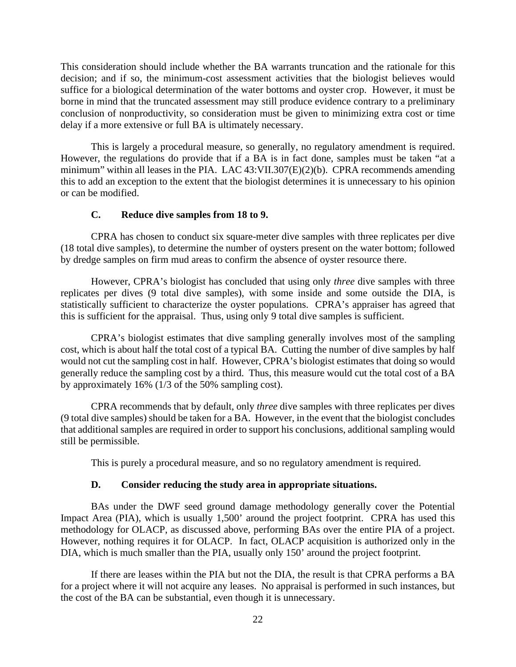This consideration should include whether the BA warrants truncation and the rationale for this decision; and if so, the minimum-cost assessment activities that the biologist believes would suffice for a biological determination of the water bottoms and oyster crop. However, it must be borne in mind that the truncated assessment may still produce evidence contrary to a preliminary conclusion of nonproductivity, so consideration must be given to minimizing extra cost or time delay if a more extensive or full BA is ultimately necessary.

This is largely a procedural measure, so generally, no regulatory amendment is required. However, the regulations do provide that if a BA is in fact done, samples must be taken "at a minimum" within all leases in the PIA. LAC 43:VII.307(E)(2)(b). CPRA recommends amending this to add an exception to the extent that the biologist determines it is unnecessary to his opinion or can be modified.

#### **C. Reduce dive samples from 18 to 9.**

CPRA has chosen to conduct six square-meter dive samples with three replicates per dive (18 total dive samples), to determine the number of oysters present on the water bottom; followed by dredge samples on firm mud areas to confirm the absence of oyster resource there.

However, CPRA's biologist has concluded that using only *three* dive samples with three replicates per dives (9 total dive samples), with some inside and some outside the DIA, is statistically sufficient to characterize the oyster populations. CPRA's appraiser has agreed that this is sufficient for the appraisal. Thus, using only 9 total dive samples is sufficient.

CPRA's biologist estimates that dive sampling generally involves most of the sampling cost, which is about half the total cost of a typical BA. Cutting the number of dive samples by half would not cut the sampling cost in half. However, CPRA's biologist estimates that doing so would generally reduce the sampling cost by a third. Thus, this measure would cut the total cost of a BA by approximately 16% (1/3 of the 50% sampling cost).

CPRA recommends that by default, only *three* dive samples with three replicates per dives (9 total dive samples) should be taken for a BA. However, in the event that the biologist concludes that additional samples are required in order to support his conclusions, additional sampling would still be permissible.

This is purely a procedural measure, and so no regulatory amendment is required.

## **D. Consider reducing the study area in appropriate situations.**

BAs under the DWF seed ground damage methodology generally cover the Potential Impact Area (PIA), which is usually 1,500' around the project footprint. CPRA has used this methodology for OLACP, as discussed above, performing BAs over the entire PIA of a project. However, nothing requires it for OLACP. In fact, OLACP acquisition is authorized only in the DIA, which is much smaller than the PIA, usually only 150' around the project footprint.

If there are leases within the PIA but not the DIA, the result is that CPRA performs a BA for a project where it will not acquire any leases. No appraisal is performed in such instances, but the cost of the BA can be substantial, even though it is unnecessary.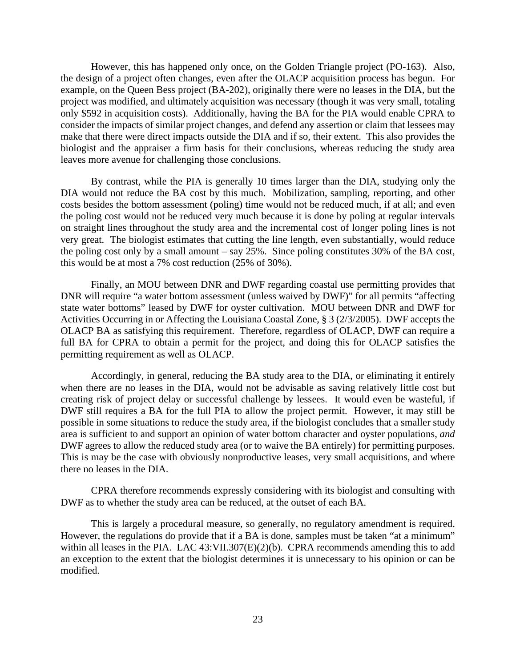However, this has happened only once, on the Golden Triangle project (PO-163). Also, the design of a project often changes, even after the OLACP acquisition process has begun. For example, on the Queen Bess project (BA-202), originally there were no leases in the DIA, but the project was modified, and ultimately acquisition was necessary (though it was very small, totaling only \$592 in acquisition costs). Additionally, having the BA for the PIA would enable CPRA to consider the impacts of similar project changes, and defend any assertion or claim that lessees may make that there were direct impacts outside the DIA and if so, their extent. This also provides the biologist and the appraiser a firm basis for their conclusions, whereas reducing the study area leaves more avenue for challenging those conclusions.

By contrast, while the PIA is generally 10 times larger than the DIA, studying only the DIA would not reduce the BA cost by this much. Mobilization, sampling, reporting, and other costs besides the bottom assessment (poling) time would not be reduced much, if at all; and even the poling cost would not be reduced very much because it is done by poling at regular intervals on straight lines throughout the study area and the incremental cost of longer poling lines is not very great. The biologist estimates that cutting the line length, even substantially, would reduce the poling cost only by a small amount – say 25%. Since poling constitutes 30% of the BA cost, this would be at most a 7% cost reduction (25% of 30%).

Finally, an MOU between DNR and DWF regarding coastal use permitting provides that DNR will require "a water bottom assessment (unless waived by DWF)" for all permits "affecting state water bottoms" leased by DWF for oyster cultivation. MOU between DNR and DWF for Activities Occurring in or Affecting the Louisiana Coastal Zone, § 3 (2/3/2005). DWF accepts the OLACP BA as satisfying this requirement. Therefore, regardless of OLACP, DWF can require a full BA for CPRA to obtain a permit for the project, and doing this for OLACP satisfies the permitting requirement as well as OLACP.

Accordingly, in general, reducing the BA study area to the DIA, or eliminating it entirely when there are no leases in the DIA, would not be advisable as saving relatively little cost but creating risk of project delay or successful challenge by lessees. It would even be wasteful, if DWF still requires a BA for the full PIA to allow the project permit. However, it may still be possible in some situations to reduce the study area, if the biologist concludes that a smaller study area is sufficient to and support an opinion of water bottom character and oyster populations, *and*  DWF agrees to allow the reduced study area (or to waive the BA entirely) for permitting purposes. This is may be the case with obviously nonproductive leases, very small acquisitions, and where there no leases in the DIA.

CPRA therefore recommends expressly considering with its biologist and consulting with DWF as to whether the study area can be reduced, at the outset of each BA.

This is largely a procedural measure, so generally, no regulatory amendment is required. However, the regulations do provide that if a BA is done, samples must be taken "at a minimum" within all leases in the PIA. LAC 43:VII.307(E)(2)(b). CPRA recommends amending this to add an exception to the extent that the biologist determines it is unnecessary to his opinion or can be modified.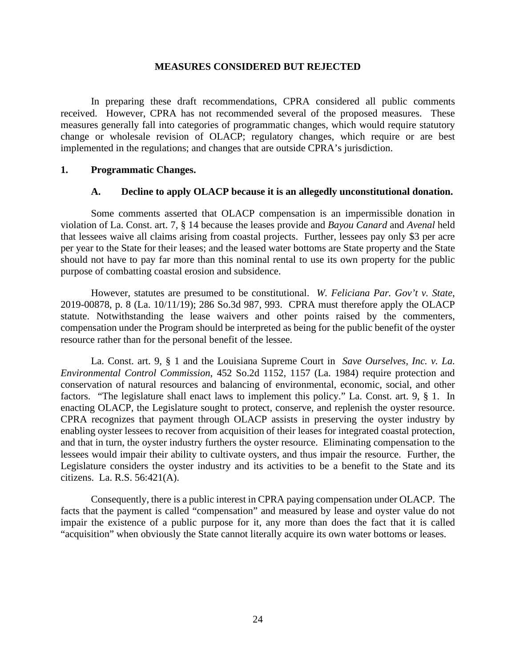#### **MEASURES CONSIDERED BUT REJECTED**

In preparing these draft recommendations, CPRA considered all public comments received. However, CPRA has not recommended several of the proposed measures. These measures generally fall into categories of programmatic changes, which would require statutory change or wholesale revision of OLACP; regulatory changes, which require or are best implemented in the regulations; and changes that are outside CPRA's jurisdiction.

#### **1. Programmatic Changes.**

#### **A. Decline to apply OLACP because it is an allegedly unconstitutional donation.**

Some comments asserted that OLACP compensation is an impermissible donation in violation of La. Const. art. 7, § 14 because the leases provide and *Bayou Canard* and *Avenal* held that lessees waive all claims arising from coastal projects. Further, lessees pay only \$3 per acre per year to the State for their leases; and the leased water bottoms are State property and the State should not have to pay far more than this nominal rental to use its own property for the public purpose of combatting coastal erosion and subsidence.

However, statutes are presumed to be constitutional. *W. Feliciana Par. Gov't v. State*, 2019-00878, p. 8 (La. 10/11/19); 286 So.3d 987, 993. CPRA must therefore apply the OLACP statute. Notwithstanding the lease waivers and other points raised by the commenters, compensation under the Program should be interpreted as being for the public benefit of the oyster resource rather than for the personal benefit of the lessee.

La. Const. art. 9, § 1 and the Louisiana Supreme Court in *Save Ourselves, Inc. v. La. Environmental Control Commission*, 452 So.2d 1152, 1157 (La. 1984) require protection and conservation of natural resources and balancing of environmental, economic, social, and other factors. "The legislature shall enact laws to implement this policy." La. Const. art. 9, § 1. In enacting OLACP, the Legislature sought to protect, conserve, and replenish the oyster resource. CPRA recognizes that payment through OLACP assists in preserving the oyster industry by enabling oyster lessees to recover from acquisition of their leases for integrated coastal protection, and that in turn, the oyster industry furthers the oyster resource. Eliminating compensation to the lessees would impair their ability to cultivate oysters, and thus impair the resource. Further, the Legislature considers the oyster industry and its activities to be a benefit to the State and its citizens. La. R.S. 56:421(A).

Consequently, there is a public interest in CPRA paying compensation under OLACP. The facts that the payment is called "compensation" and measured by lease and oyster value do not impair the existence of a public purpose for it, any more than does the fact that it is called "acquisition" when obviously the State cannot literally acquire its own water bottoms or leases.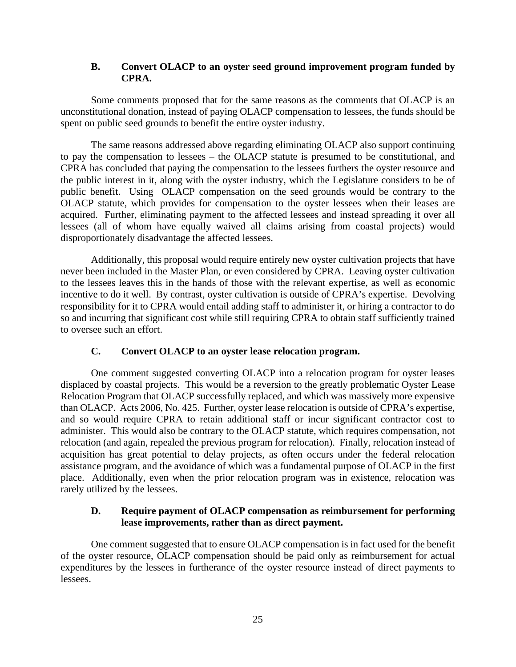## **B. Convert OLACP to an oyster seed ground improvement program funded by CPRA.**

Some comments proposed that for the same reasons as the comments that OLACP is an unconstitutional donation, instead of paying OLACP compensation to lessees, the funds should be spent on public seed grounds to benefit the entire oyster industry.

The same reasons addressed above regarding eliminating OLACP also support continuing to pay the compensation to lessees – the OLACP statute is presumed to be constitutional, and CPRA has concluded that paying the compensation to the lessees furthers the oyster resource and the public interest in it, along with the oyster industry, which the Legislature considers to be of public benefit. Using OLACP compensation on the seed grounds would be contrary to the OLACP statute, which provides for compensation to the oyster lessees when their leases are acquired. Further, eliminating payment to the affected lessees and instead spreading it over all lessees (all of whom have equally waived all claims arising from coastal projects) would disproportionately disadvantage the affected lessees.

Additionally, this proposal would require entirely new oyster cultivation projects that have never been included in the Master Plan, or even considered by CPRA. Leaving oyster cultivation to the lessees leaves this in the hands of those with the relevant expertise, as well as economic incentive to do it well. By contrast, oyster cultivation is outside of CPRA's expertise. Devolving responsibility for it to CPRA would entail adding staff to administer it, or hiring a contractor to do so and incurring that significant cost while still requiring CPRA to obtain staff sufficiently trained to oversee such an effort.

## **C. Convert OLACP to an oyster lease relocation program.**

One comment suggested converting OLACP into a relocation program for oyster leases displaced by coastal projects. This would be a reversion to the greatly problematic Oyster Lease Relocation Program that OLACP successfully replaced, and which was massively more expensive than OLACP. Acts 2006, No. 425. Further, oyster lease relocation is outside of CPRA's expertise, and so would require CPRA to retain additional staff or incur significant contractor cost to administer. This would also be contrary to the OLACP statute, which requires compensation, not relocation (and again, repealed the previous program for relocation). Finally, relocation instead of acquisition has great potential to delay projects, as often occurs under the federal relocation assistance program, and the avoidance of which was a fundamental purpose of OLACP in the first place. Additionally, even when the prior relocation program was in existence, relocation was rarely utilized by the lessees.

### **D. Require payment of OLACP compensation as reimbursement for performing lease improvements, rather than as direct payment.**

One comment suggested that to ensure OLACP compensation is in fact used for the benefit of the oyster resource, OLACP compensation should be paid only as reimbursement for actual expenditures by the lessees in furtherance of the oyster resource instead of direct payments to lessees.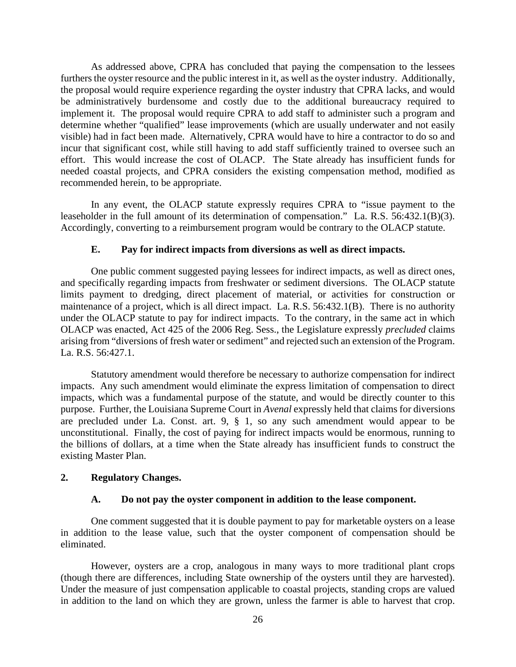As addressed above, CPRA has concluded that paying the compensation to the lessees furthers the oyster resource and the public interest in it, as well as the oyster industry. Additionally, the proposal would require experience regarding the oyster industry that CPRA lacks, and would be administratively burdensome and costly due to the additional bureaucracy required to implement it. The proposal would require CPRA to add staff to administer such a program and determine whether "qualified" lease improvements (which are usually underwater and not easily visible) had in fact been made. Alternatively, CPRA would have to hire a contractor to do so and incur that significant cost, while still having to add staff sufficiently trained to oversee such an effort. This would increase the cost of OLACP. The State already has insufficient funds for needed coastal projects, and CPRA considers the existing compensation method, modified as recommended herein, to be appropriate.

In any event, the OLACP statute expressly requires CPRA to "issue payment to the leaseholder in the full amount of its determination of compensation." La. R.S. 56:432.1(B)(3). Accordingly, converting to a reimbursement program would be contrary to the OLACP statute.

#### **E. Pay for indirect impacts from diversions as well as direct impacts.**

One public comment suggested paying lessees for indirect impacts, as well as direct ones, and specifically regarding impacts from freshwater or sediment diversions. The OLACP statute limits payment to dredging, direct placement of material, or activities for construction or maintenance of a project, which is all direct impact. La. R.S. 56:432.1(B). There is no authority under the OLACP statute to pay for indirect impacts. To the contrary, in the same act in which OLACP was enacted, Act 425 of the 2006 Reg. Sess., the Legislature expressly *precluded* claims arising from "diversions of fresh water or sediment" and rejected such an extension of the Program. La. R.S. 56:427.1.

Statutory amendment would therefore be necessary to authorize compensation for indirect impacts. Any such amendment would eliminate the express limitation of compensation to direct impacts, which was a fundamental purpose of the statute, and would be directly counter to this purpose. Further, the Louisiana Supreme Court in *Avenal* expressly held that claims for diversions are precluded under La. Const. art. 9, § 1, so any such amendment would appear to be unconstitutional. Finally, the cost of paying for indirect impacts would be enormous, running to the billions of dollars, at a time when the State already has insufficient funds to construct the existing Master Plan.

#### **2. Regulatory Changes.**

#### **A. Do not pay the oyster component in addition to the lease component.**

One comment suggested that it is double payment to pay for marketable oysters on a lease in addition to the lease value, such that the oyster component of compensation should be eliminated.

However, oysters are a crop, analogous in many ways to more traditional plant crops (though there are differences, including State ownership of the oysters until they are harvested). Under the measure of just compensation applicable to coastal projects, standing crops are valued in addition to the land on which they are grown, unless the farmer is able to harvest that crop.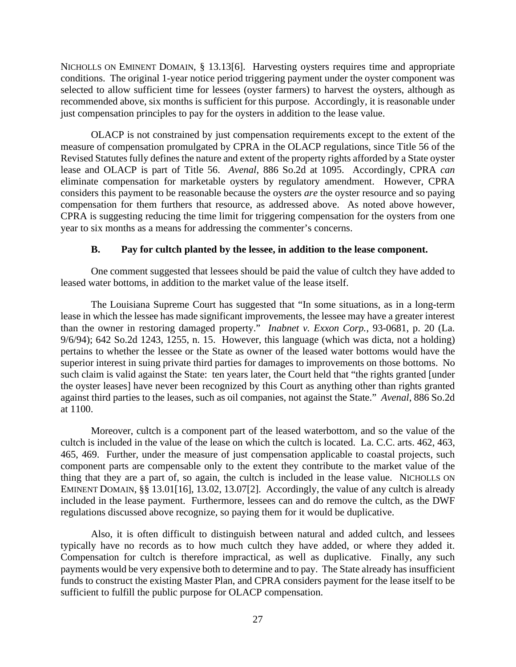NICHOLLS ON EMINENT DOMAIN, § 13.13[6]. Harvesting oysters requires time and appropriate conditions. The original 1-year notice period triggering payment under the oyster component was selected to allow sufficient time for lessees (oyster farmers) to harvest the oysters, although as recommended above, six months is sufficient for this purpose. Accordingly, it is reasonable under just compensation principles to pay for the oysters in addition to the lease value.

OLACP is not constrained by just compensation requirements except to the extent of the measure of compensation promulgated by CPRA in the OLACP regulations, since Title 56 of the Revised Statutes fully defines the nature and extent of the property rights afforded by a State oyster lease and OLACP is part of Title 56. *Avenal*, 886 So.2d at 1095. Accordingly, CPRA *can* eliminate compensation for marketable oysters by regulatory amendment. However, CPRA considers this payment to be reasonable because the oysters *are* the oyster resource and so paying compensation for them furthers that resource, as addressed above. As noted above however, CPRA is suggesting reducing the time limit for triggering compensation for the oysters from one year to six months as a means for addressing the commenter's concerns.

#### **B. Pay for cultch planted by the lessee, in addition to the lease component.**

One comment suggested that lessees should be paid the value of cultch they have added to leased water bottoms, in addition to the market value of the lease itself.

The Louisiana Supreme Court has suggested that "In some situations, as in a long-term lease in which the lessee has made significant improvements, the lessee may have a greater interest than the owner in restoring damaged property." *Inabnet v. Exxon Corp.*, 93-0681, p. 20 (La. 9/6/94); 642 So.2d 1243, 1255, n. 15. However, this language (which was dicta, not a holding) pertains to whether the lessee or the State as owner of the leased water bottoms would have the superior interest in suing private third parties for damages to improvements on those bottoms. No such claim is valid against the State: ten years later, the Court held that "the rights granted [under the oyster leases] have never been recognized by this Court as anything other than rights granted against third parties to the leases, such as oil companies, not against the State." *Avenal*, 886 So.2d at 1100.

Moreover, cultch is a component part of the leased waterbottom, and so the value of the cultch is included in the value of the lease on which the cultch is located. La. C.C. arts. 462, 463, 465, 469. Further, under the measure of just compensation applicable to coastal projects, such component parts are compensable only to the extent they contribute to the market value of the thing that they are a part of, so again, the cultch is included in the lease value. NICHOLLS ON EMINENT DOMAIN, §§ 13.01[16], 13.02, 13.07[2]. Accordingly, the value of any cultch is already included in the lease payment. Furthermore, lessees can and do remove the cultch, as the DWF regulations discussed above recognize, so paying them for it would be duplicative.

Also, it is often difficult to distinguish between natural and added cultch, and lessees typically have no records as to how much cultch they have added, or where they added it. Compensation for cultch is therefore impractical, as well as duplicative. Finally, any such payments would be very expensive both to determine and to pay. The State already has insufficient funds to construct the existing Master Plan, and CPRA considers payment for the lease itself to be sufficient to fulfill the public purpose for OLACP compensation.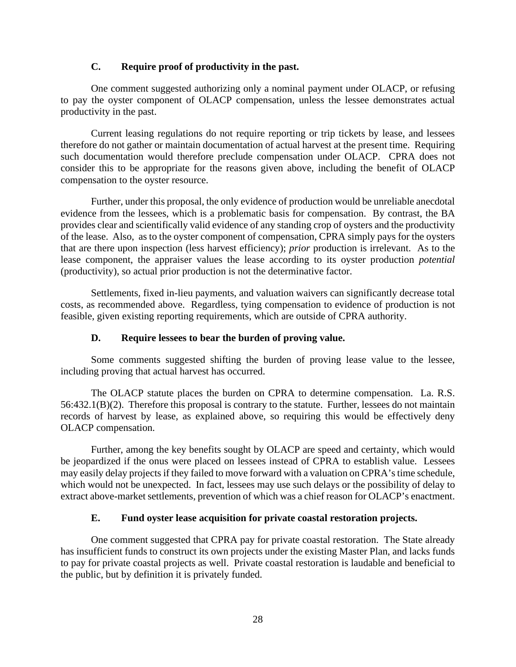## **C. Require proof of productivity in the past.**

One comment suggested authorizing only a nominal payment under OLACP, or refusing to pay the oyster component of OLACP compensation, unless the lessee demonstrates actual productivity in the past.

Current leasing regulations do not require reporting or trip tickets by lease, and lessees therefore do not gather or maintain documentation of actual harvest at the present time. Requiring such documentation would therefore preclude compensation under OLACP. CPRA does not consider this to be appropriate for the reasons given above, including the benefit of OLACP compensation to the oyster resource.

Further, under this proposal, the only evidence of production would be unreliable anecdotal evidence from the lessees, which is a problematic basis for compensation. By contrast, the BA provides clear and scientifically valid evidence of any standing crop of oysters and the productivity of the lease. Also, as to the oyster component of compensation, CPRA simply pays for the oysters that are there upon inspection (less harvest efficiency); *prior* production is irrelevant. As to the lease component, the appraiser values the lease according to its oyster production *potential* (productivity), so actual prior production is not the determinative factor.

Settlements, fixed in-lieu payments, and valuation waivers can significantly decrease total costs, as recommended above. Regardless, tying compensation to evidence of production is not feasible, given existing reporting requirements, which are outside of CPRA authority.

## **D. Require lessees to bear the burden of proving value.**

Some comments suggested shifting the burden of proving lease value to the lessee, including proving that actual harvest has occurred.

The OLACP statute places the burden on CPRA to determine compensation. La. R.S. 56:432.1(B)(2). Therefore this proposal is contrary to the statute. Further, lessees do not maintain records of harvest by lease, as explained above, so requiring this would be effectively deny OLACP compensation.

Further, among the key benefits sought by OLACP are speed and certainty, which would be jeopardized if the onus were placed on lessees instead of CPRA to establish value. Lessees may easily delay projects if they failed to move forward with a valuation on CPRA's time schedule, which would not be unexpected. In fact, lessees may use such delays or the possibility of delay to extract above-market settlements, prevention of which was a chief reason for OLACP's enactment.

## **E. Fund oyster lease acquisition for private coastal restoration projects.**

One comment suggested that CPRA pay for private coastal restoration. The State already has insufficient funds to construct its own projects under the existing Master Plan, and lacks funds to pay for private coastal projects as well. Private coastal restoration is laudable and beneficial to the public, but by definition it is privately funded.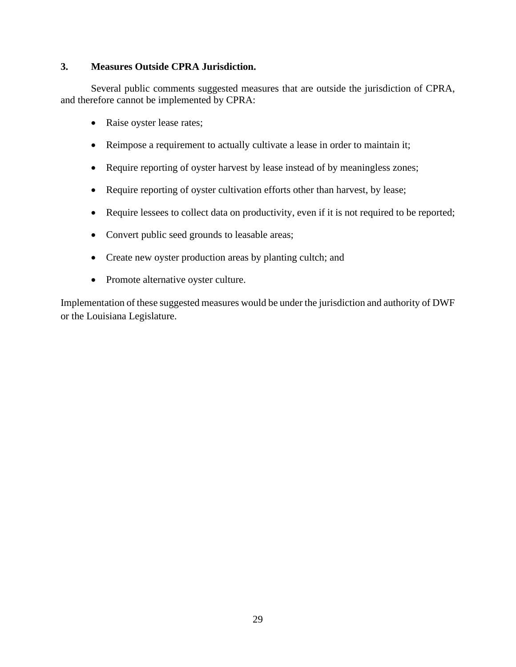## **3. Measures Outside CPRA Jurisdiction.**

Several public comments suggested measures that are outside the jurisdiction of CPRA, and therefore cannot be implemented by CPRA:

- Raise oyster lease rates;
- Reimpose a requirement to actually cultivate a lease in order to maintain it;
- Require reporting of oyster harvest by lease instead of by meaningless zones;
- Require reporting of oyster cultivation efforts other than harvest, by lease;
- Require lessees to collect data on productivity, even if it is not required to be reported;
- Convert public seed grounds to leasable areas;
- Create new oyster production areas by planting cultch; and
- Promote alternative oyster culture.

Implementation of these suggested measures would be under the jurisdiction and authority of DWF or the Louisiana Legislature.